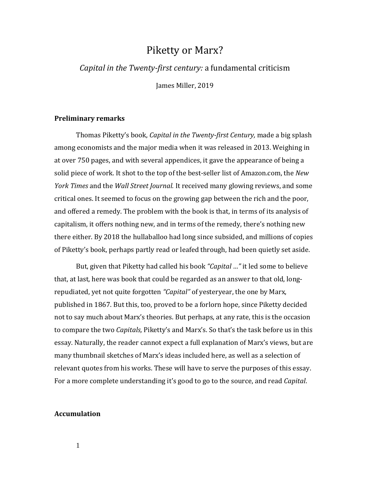# Piketty or Marx?

### *Capital in the Twenty-first century:* a fundamental criticism

James Miller, 2019

#### **Preliminary remarks**

Thomas Piketty's book, *Capital in the Twenty-first Century,* made a big splash among economists and the major media when it was released in 2013. Weighing in at over 750 pages, and with several appendices, it gave the appearance of being a solid piece of work. It shot to the top of the best-seller list of Amazon.com, the *New York Times* and the *Wall Street Journal.* It received many glowing reviews, and some critical ones. It seemed to focus on the growing gap between the rich and the poor, and offered a remedy. The problem with the book is that, in terms of its analysis of capitalism, it offers nothing new, and in terms of the remedy, there's nothing new there either. By 2018 the hullaballoo had long since subsided, and millions of copies of Piketty's book, perhaps partly read or leafed through, had been quietly set aside.

But, given that Piketty had called his book *"Capital …"* it led some to believe that, at last, here was book that could be regarded as an answer to that old, longrepudiated, yet not quite forgotten *"Capital"* of yesteryear, the one by Marx, published in 1867. But this, too, proved to be a forlorn hope, since Piketty decided not to say much about Marx's theories. But perhaps, at any rate, this is the occasion to compare the two *Capitals,* Piketty's and Marx's. So that's the task before us in this essay. Naturally, the reader cannot expect a full explanation of Marx's views, but are many thumbnail sketches of Marx's ideas included here, as well as a selection of relevant quotes from his works. These will have to serve the purposes of this essay. For a more complete understanding it's good to go to the source, and read *Capital*.

#### **Accumulation**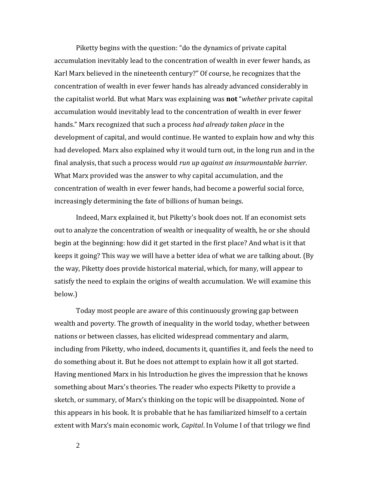Piketty begins with the question: "do the dynamics of private capital accumulation inevitably lead to the concentration of wealth in ever fewer hands, as Karl Marx believed in the nineteenth century?" Of course, he recognizes that the concentration of wealth in ever fewer hands has already advanced considerably in the capitalist world. But what Marx was explaining was **not** "*whether* private capital accumulation would inevitably lead to the concentration of wealth in ever fewer hands." Marx recognized that such a process *had already taken place* in the development of capital, and would continue. He wanted to explain how and why this had developed. Marx also explained why it would turn out, in the long run and in the final analysis, that such a process would *run up against an insurmountable barrier*. What Marx provided was the answer to why capital accumulation, and the concentration of wealth in ever fewer hands, had become a powerful social force, increasingly determining the fate of billions of human beings.

Indeed, Marx explained it, but Piketty's book does not. If an economist sets out to analyze the concentration of wealth or inequality of wealth, he or she should begin at the beginning: how did it get started in the first place? And what is it that keeps it going? This way we will have a better idea of what we are talking about. (By the way, Piketty does provide historical material, which, for many, will appear to satisfy the need to explain the origins of wealth accumulation. We will examine this below.)

Today most people are aware of this continuously growing gap between wealth and poverty. The growth of inequality in the world today, whether between nations or between classes, has elicited widespread commentary and alarm, including from Piketty, who indeed, documents it, quantifies it, and feels the need to do something about it. But he does not attempt to explain how it all got started. Having mentioned Marx in his Introduction he gives the impression that he knows something about Marx's theories. The reader who expects Piketty to provide a sketch, or summary, of Marx's thinking on the topic will be disappointed. None of this appears in his book. It is probable that he has familiarized himself to a certain extent with Marx's main economic work, *Capital*. In Volume I of that trilogy we find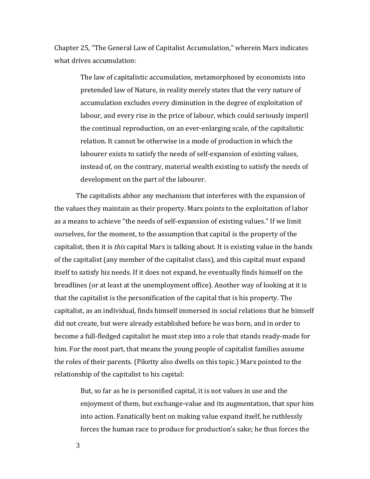Chapter 25, "The General Law of Capitalist Accumulation," wherein Marx indicates what drives accumulation:

> The law of capitalistic accumulation, metamorphosed by economists into pretended law of Nature, in reality merely states that the very nature of accumulation excludes every diminution in the degree of exploitation of labour, and every rise in the price of labour, which could seriously imperil the continual reproduction, on an ever-enlarging scale, of the capitalistic relation. It cannot be otherwise in a mode of production in which the labourer exists to satisfy the needs of self-expansion of existing values, instead of, on the contrary, material wealth existing to satisfy the needs of development on the part of the labourer.

The capitalists abhor any mechanism that interferes with the expansion of the values they maintain as their property. Marx points to the exploitation of labor as a means to achieve "the needs of self-expansion of existing values." If we limit ourselves, for the moment, to the assumption that capital is the property of the capitalist, then it is *this* capital Marx is talking about. It is existing value in the hands of the capitalist (any member of the capitalist class), and this capital must expand itself to satisfy his needs. If it does not expand, he eventually finds himself on the breadlines (or at least at the unemployment office). Another way of looking at it is that the capitalist is the personification of the capital that is his property. The capitalist, as an individual, finds himself immersed in social relations that he himself did not create, but were already established before he was born, and in order to become a full-fledged capitalist he must step into a role that stands ready-made for him. For the most part, that means the young people of capitalist families assume the roles of their parents. (Piketty also dwells on this topic.) Marx pointed to the relationship of the capitalist to his capital:

But, so far as he is personified capital, it is not values in use and the enjoyment of them, but exchange-value and its augmentation, that spur him into action. Fanatically bent on making value expand itself, he ruthlessly forces the human race to produce for production's sake; he thus forces the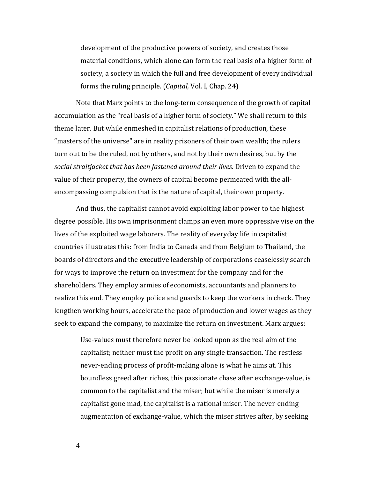development of the productive powers of society, and creates those material conditions, which alone can form the real basis of a higher form of society, a society in which the full and free development of every individual forms the ruling principle. (*Capital,* Vol. I, Chap. 24)

Note that Marx points to the long-term consequence of the growth of capital accumulation as the "real basis of a higher form of society." We shall return to this theme later. But while enmeshed in capitalist relations of production, these "masters of the universe" are in reality prisoners of their own wealth; the rulers turn out to be the ruled, not by others, and not by their own desires, but by the *social straitjacket that has been fastened around their lives*. Driven to expand the value of their property, the owners of capital become permeated with the allencompassing compulsion that is the nature of capital, their own property.

And thus, the capitalist cannot avoid exploiting labor power to the highest degree possible. His own imprisonment clamps an even more oppressive vise on the lives of the exploited wage laborers. The reality of everyday life in capitalist countries illustrates this: from India to Canada and from Belgium to Thailand, the boards of directors and the executive leadership of corporations ceaselessly search for ways to improve the return on investment for the company and for the shareholders. They employ armies of economists, accountants and planners to realize this end. They employ police and guards to keep the workers in check. They lengthen working hours, accelerate the pace of production and lower wages as they seek to expand the company, to maximize the return on investment. Marx argues:

Use-values must therefore never be looked upon as the real aim of the capitalist; neither must the profit on any single transaction. The restless never-ending process of profit-making alone is what he aims at. This boundless greed after riches, this passionate chase after exchange-value, is common to the capitalist and the miser; but while the miser is merely a capitalist gone mad, the capitalist is a rational miser. The never-ending augmentation of exchange-value, which the miser strives after, by seeking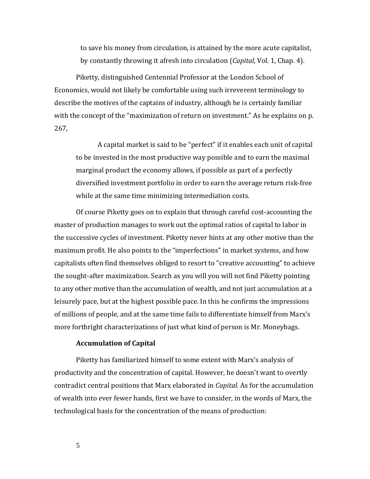to save his money from circulation, is attained by the more acute capitalist, by constantly throwing it afresh into circulation (*Capital,* Vol. 1, Chap. 4).

Piketty, distinguished Centennial Professor at the London School of Economics, would not likely be comfortable using such irreverent terminology to describe the motives of the captains of industry, although he is certainly familiar with the concept of the "maximization of return on investment." As he explains on p. 267,

A capital market is said to be "perfect" if it enables each unit of capital to be invested in the most productive way possible and to earn the maximal marginal product the economy allows, if possible as part of a perfectly diversified investment portfolio in order to earn the average return risk-free while at the same time minimizing intermediation costs.

Of course Piketty goes on to explain that through careful cost-accounting the master of production manages to work out the optimal ratios of capital to labor in the successive cycles of investment. Piketty never hints at any other motive than the maximum profit. He also points to the "imperfections" in market systems, and how capitalists often find themselves obliged to resort to "creative accounting" to achieve the sought-after maximization. Search as you will you will not find Piketty pointing to any other motive than the accumulation of wealth, and not just accumulation at a leisurely pace, but at the highest possible pace. In this he confirms the impressions of millions of people, and at the same time fails to differentiate himself from Marx's more forthright characterizations of just what kind of person is Mr. Moneybags.

#### **Accumulation of Capital**

Piketty has familiarized himself to some extent with Marx's analysis of productivity and the concentration of capital. However, he doesn't want to overtly contradict central positions that Marx elaborated in *Capital.* As for the accumulation of wealth into ever fewer hands, first we have to consider, in the words of Marx, the technological basis for the concentration of the means of production: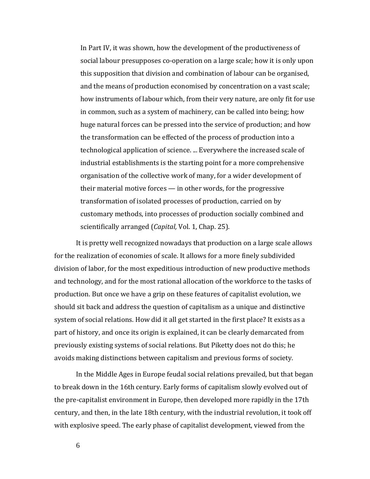In Part IV, it was shown, how the development of the productiveness of social labour presupposes co-operation on a large scale; how it is only upon this supposition that division and combination of labour can be organised, and the means of production economised by concentration on a vast scale; how instruments of labour which, from their very nature, are only fit for use in common, such as a system of machinery, can be called into being; how huge natural forces can be pressed into the service of production; and how the transformation can be effected of the process of production into a technological application of science. ... Everywhere the increased scale of industrial establishments is the starting point for a more comprehensive organisation of the collective work of many, for a wider development of their material motive forces — in other words, for the progressive transformation of isolated processes of production, carried on by customary methods, into processes of production socially combined and scientifically arranged (*Capital,* Vol. 1, Chap. 25).

It is pretty well recognized nowadays that production on a large scale allows for the realization of economies of scale. It allows for a more finely subdivided division of labor, for the most expeditious introduction of new productive methods and technology, and for the most rational allocation of the workforce to the tasks of production. But once we have a grip on these features of capitalist evolution, we should sit back and address the question of capitalism as a unique and distinctive system of social relations. How did it all get started in the first place? It exists as a part of history, and once its origin is explained, it can be clearly demarcated from previously existing systems of social relations. But Piketty does not do this; he avoids making distinctions between capitalism and previous forms of society.

In the Middle Ages in Europe feudal social relations prevailed, but that began to break down in the 16th century. Early forms of capitalism slowly evolved out of the pre-capitalist environment in Europe, then developed more rapidly in the 17th century, and then, in the late 18th century, with the industrial revolution, it took off with explosive speed. The early phase of capitalist development, viewed from the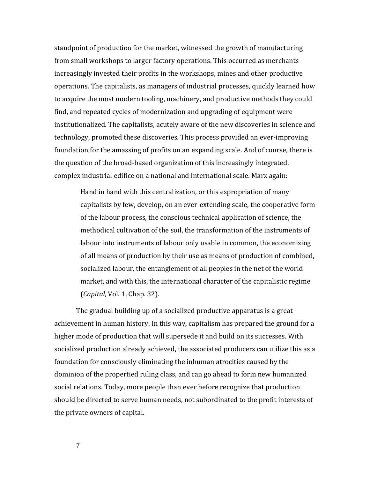standpoint of production for the market, witnessed the growth of manufacturing from small workshops to larger factory operations. This occurred as merchants increasingly invested their profits in the workshops, mines and other productive operations. The capitalists, as managers of industrial processes, quickly learned how to acquire the most modern tooling, machinery, and productive methods they could find, and repeated cycles of modernization and upgrading of equipment were institutionalized. The capitalists, acutely aware of the new discoveries in science and technology, promoted these discoveries. This process provided an ever-improving foundation for the amassing of profits on an expanding scale. And of course, there is the question of the broad-based organization of this increasingly integrated, complex industrial edifice on a national and international scale. Marx again:

Hand in hand with this centralization, or this expropriation of many capitalists by few, develop, on an ever-extending scale, the cooperative form of the labour process, the conscious technical application of science, the methodical cultivation of the soil, the transformation of the instruments of labour into instruments of labour only usable in common, the economizing of all means of production by their use as means of production of combined, socialized labour, the entanglement of all peoples in the net of the world market, and with this, the international character of the capitalistic regime (*Capital,* Vol. 1, Chap. 32).

The gradual building up of a socialized productive apparatus is a great achievement in human history. In this way, capitalism has prepared the ground for a higher mode of production that will supersede it and build on its successes. With socialized production already achieved, the associated producers can utilize this as a foundation for consciously eliminating the inhuman atrocities caused by the dominion of the propertied ruling class, and can go ahead to form new humanized social relations. Today, more people than ever before recognize that production should be directed to serve human needs, not subordinated to the profit interests of the private owners of capital.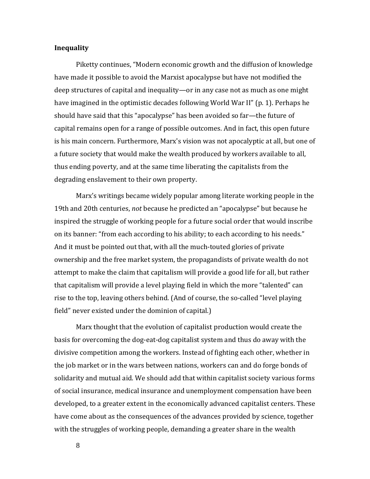#### **Inequality**

Piketty continues, "Modern economic growth and the diffusion of knowledge have made it possible to avoid the Marxist apocalypse but have not modified the deep structures of capital and inequality—or in any case not as much as one might have imagined in the optimistic decades following World War II" (p. 1). Perhaps he should have said that this "apocalypse" has been avoided so far—the future of capital remains open for a range of possible outcomes. And in fact, this open future is his main concern. Furthermore, Marx's vision was not apocalyptic at all, but one of a future society that would make the wealth produced by workers available to all, thus ending poverty, and at the same time liberating the capitalists from the degrading enslavement to their own property.

Marx's writings became widely popular among literate working people in the 19th and 20th centuries, *not* because he predicted an "apocalypse" but because he inspired the struggle of working people for a future social order that would inscribe on its banner: "from each according to his ability; to each according to his needs." And it must be pointed out that, with all the much-touted glories of private ownership and the free market system, the propagandists of private wealth do not attempt to make the claim that capitalism will provide a good life for all, but rather that capitalism will provide a level playing field in which the more "talented" can rise to the top, leaving others behind. (And of course, the so-called "level playing field" never existed under the dominion of capital.)

Marx thought that the evolution of capitalist production would create the basis for overcoming the dog-eat-dog capitalist system and thus do away with the divisive competition among the workers. Instead of fighting each other, whether in the job market or in the wars between nations, workers can and do forge bonds of solidarity and mutual aid. We should add that within capitalist society various forms of social insurance, medical insurance and unemployment compensation have been developed, to a greater extent in the economically advanced capitalist centers. These have come about as the consequences of the advances provided by science, together with the struggles of working people, demanding a greater share in the wealth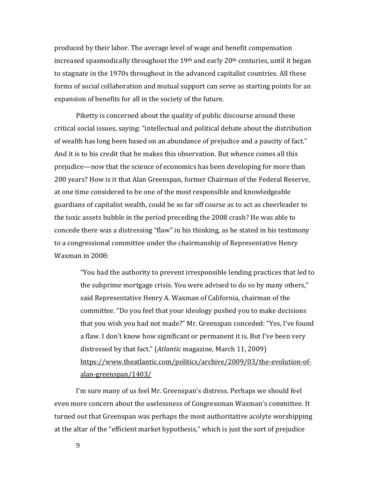produced by their labor. The average level of wage and benefit compensation increased spasmodically throughout the  $19<sup>th</sup>$  and early  $20<sup>th</sup>$  centuries, until it began to stagnate in the 1970s throughout in the advanced capitalist countries. All these forms of social collaboration and mutual support can serve as starting points for an expansion of benefits for all in the society of the future.

Piketty is concerned about the quality of public discourse around these critical social issues, saying: "intellectual and political debate about the distribution of wealth has long been based on an abundance of prejudice and a paucity of fact." And it is to his credit that he makes this observation. But whence comes all this prejudice—now that the science of economics has been developing for more than 200 years? How is it that Alan Greenspan, former Chairman of the Federal Reserve, at one time considered to be one of the most responsible and knowledgeable guardians of capitalist wealth, could be so far off course as to act as cheerleader to the toxic assets bubble in the period preceding the 2008 crash? He was able to concede there was a distressing "flaw" in his thinking, as he stated in his testimony to a congressional committee under the chairmanship of Representative Henry Waxman in 2008:

"You had the authority to prevent irresponsible lending practices that led to the subprime mortgage crisis. You were advised to do so by many others," said Representative Henry A. Waxman of California, chairman of the committee. "Do you feel that your ideology pushed you to make decisions that you wish you had not made?" Mr. Greenspan conceded: "Yes, I've found a flaw. I don't know how significant or permanent it is. But I've been very distressed by that fact." (*Atlantic* magazine, March 11, 2009) [https://www.theatlantic.com/politics/archive/2009/03/the-evolution-of](https://www.theatlantic.com/politics/archive/2009/03/the-evolution-of-alan-greenspan/1403/)[alan-greenspan/1403/](https://www.theatlantic.com/politics/archive/2009/03/the-evolution-of-alan-greenspan/1403/)

I'm sure many of us feel Mr. Greenspan's distress. Perhaps we should feel even more concern about the uselessness of Congressman Waxman's committee. It turned out that Greenspan was perhaps the most authoritative acolyte worshipping at the altar of the "efficient market hypothesis," which is just the sort of prejudice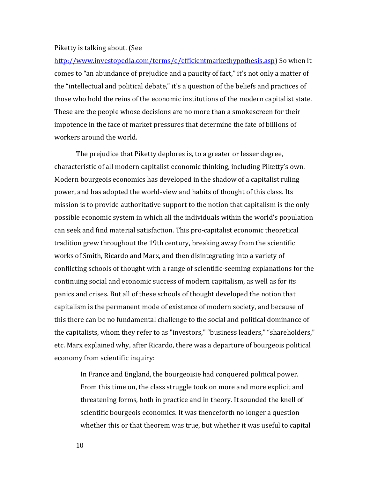#### Piketty is talking about. (See

[http://www.investopedia.com/terms/e/efficientmarkethypothesis.asp\)](http://www.investopedia.com/terms/e/efficientmarkethypothesis.asp) So when it comes to "an abundance of prejudice and a paucity of fact," it's not only a matter of the "intellectual and political debate," it's a question of the beliefs and practices of those who hold the reins of the economic institutions of the modern capitalist state. These are the people whose decisions are no more than a smokescreen for their impotence in the face of market pressures that determine the fate of billions of workers around the world.

The prejudice that Piketty deplores is, to a greater or lesser degree, characteristic of all modern capitalist economic thinking, including Piketty's own. Modern bourgeois economics has developed in the shadow of a capitalist ruling power, and has adopted the world-view and habits of thought of this class. Its mission is to provide authoritative support to the notion that capitalism is the only possible economic system in which all the individuals within the world's population can seek and find material satisfaction. This pro-capitalist economic theoretical tradition grew throughout the 19th century, breaking away from the scientific works of Smith, Ricardo and Marx, and then disintegrating into a variety of conflicting schools of thought with a range of scientific-seeming explanations for the continuing social and economic success of modern capitalism, as well as for its panics and crises. But all of these schools of thought developed the notion that capitalism is the permanent mode of existence of modern society, and because of this there can be no fundamental challenge to the social and political dominance of the capitalists, whom they refer to as "investors," "business leaders," "shareholders," etc. Marx explained why, after Ricardo, there was a departure of bourgeois political economy from scientific inquiry:

In France and England, the bourgeoisie had conquered political power. From this time on, the class struggle took on more and more explicit and threatening forms, both in practice and in theory. It sounded the knell of scientific bourgeois economics. It was thenceforth no longer a question whether this or that theorem was true, but whether it was useful to capital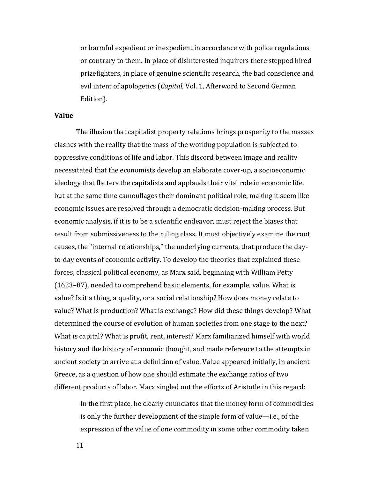or harmful expedient or inexpedient in accordance with police regulations or contrary to them. In place of disinterested inquirers there stepped hired prizefighters, in place of genuine scientific research, the bad conscience and evil intent of apologetics (*Capital*, Vol. 1, Afterword to Second German Edition).

#### **Value**

The illusion that capitalist property relations brings prosperity to the masses clashes with the reality that the mass of the working population is subjected to oppressive conditions of life and labor. This discord between image and reality necessitated that the economists develop an elaborate cover-up, a socioeconomic ideology that flatters the capitalists and applauds their vital role in economic life, but at the same time camouflages their dominant political role, making it seem like economic issues are resolved through a democratic decision-making process. But economic analysis, if it is to be a scientific endeavor, must reject the biases that result from submissiveness to the ruling class. It must objectively examine the root causes, the "internal relationships," the underlying currents, that produce the dayto-day events of economic activity. To develop the theories that explained these forces, classical political economy, as Marx said, beginning with William Petty (1623–87), needed to comprehend basic elements, for example, value. What is value? Is it a thing, a quality, or a social relationship? How does money relate to value? What is production? What is exchange? How did these things develop? What determined the course of evolution of human societies from one stage to the next? What is capital? What is profit, rent, interest? Marx familiarized himself with world history and the history of economic thought, and made reference to the attempts in ancient society to arrive at a definition of value. Value appeared initially, in ancient Greece, as a question of how one should estimate the exchange ratios of two different products of labor. Marx singled out the efforts of Aristotle in this regard:

In the first place, he clearly enunciates that the money form of commodities is only the further development of the simple form of value—i.e., of the expression of the value of one commodity in some other commodity taken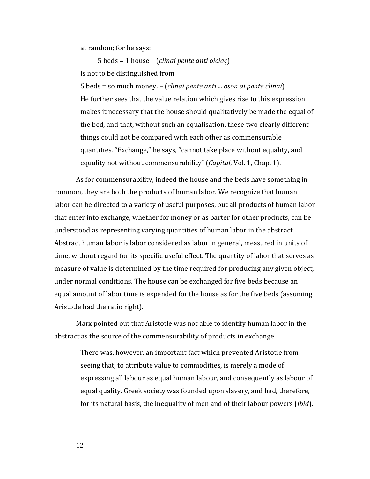at random; for he says:

5 beds = 1 house – (*clinai pente anti oiciaς*) is not to be distinguished from

5 beds = so much money. – (*clinai pente anti ... oson ai pente clinai*) He further sees that the value relation which gives rise to this expression makes it necessary that the house should qualitatively be made the equal of the bed, and that, without such an equalisation, these two clearly different things could not be compared with each other as commensurable quantities. "Exchange," he says, "cannot take place without equality, and equality not without commensurability" (*Capital*, Vol. 1, Chap. 1).

As for commensurability, indeed the house and the beds have something in common, they are both the products of human labor. We recognize that human labor can be directed to a variety of useful purposes, but all products of human labor that enter into exchange, whether for money or as barter for other products, can be understood as representing varying quantities of human labor in the abstract. Abstract human labor is labor considered as labor in general, measured in units of time, without regard for its specific useful effect. The quantity of labor that serves as measure of value is determined by the time required for producing any given object, under normal conditions. The house can be exchanged for five beds because an equal amount of labor time is expended for the house as for the five beds (assuming Aristotle had the ratio right).

Marx pointed out that Aristotle was not able to identify human labor in the abstract as the source of the commensurability of products in exchange.

> There was, however, an important fact which prevented Aristotle from seeing that, to attribute value to commodities, is merely a mode of expressing all labour as equal human labour, and consequently as labour of equal quality. Greek society was founded upon slavery, and had, therefore, for its natural basis, the inequality of men and of their labour powers (*ibid*).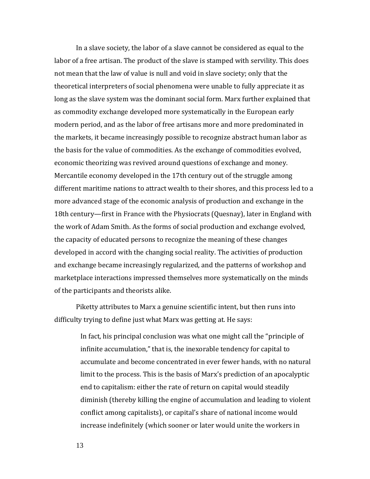In a slave society, the labor of a slave cannot be considered as equal to the labor of a free artisan. The product of the slave is stamped with servility. This does not mean that the law of value is null and void in slave society; only that the theoretical interpreters of social phenomena were unable to fully appreciate it as long as the slave system was the dominant social form. Marx further explained that as commodity exchange developed more systematically in the European early modern period, and as the labor of free artisans more and more predominated in the markets, it became increasingly possible to recognize abstract human labor as the basis for the value of commodities. As the exchange of commodities evolved, economic theorizing was revived around questions of exchange and money. Mercantile economy developed in the 17th century out of the struggle among different maritime nations to attract wealth to their shores, and this process led to a more advanced stage of the economic analysis of production and exchange in the 18th century—first in France with the Physiocrats (Quesnay), later in England with the work of Adam Smith. As the forms of social production and exchange evolved, the capacity of educated persons to recognize the meaning of these changes developed in accord with the changing social reality. The activities of production and exchange became increasingly regularized, and the patterns of workshop and marketplace interactions impressed themselves more systematically on the minds of the participants and theorists alike.

Piketty attributes to Marx a genuine scientific intent, but then runs into difficulty trying to define just what Marx was getting at. He says:

> In fact, his principal conclusion was what one might call the "principle of infinite accumulation," that is, the inexorable tendency for capital to accumulate and become concentrated in ever fewer hands, with no natural limit to the process. This is the basis of Marx's prediction of an apocalyptic end to capitalism: either the rate of return on capital would steadily diminish (thereby killing the engine of accumulation and leading to violent conflict among capitalists), or capital's share of national income would increase indefinitely (which sooner or later would unite the workers in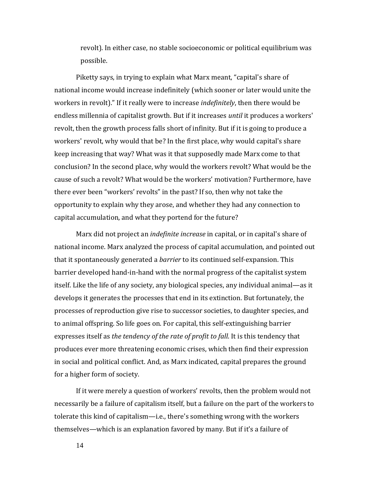revolt). In either case, no stable socioeconomic or political equilibrium was possible.

Piketty says, in trying to explain what Marx meant, "capital's share of national income would increase indefinitely (which sooner or later would unite the workers in revolt)." If it really were to increase *indefinitely*, then there would be endless millennia of capitalist growth. But if it increases *until* it produces a workers' revolt, then the growth process falls short of infinity. But if it is going to produce a workers' revolt, why would that be? In the first place, why would capital's share keep increasing that way? What was it that supposedly made Marx come to that conclusion? In the second place, why would the workers revolt? What would be the cause of such a revolt? What would be the workers' motivation? Furthermore, have there ever been "workers' revolts" in the past? If so, then why not take the opportunity to explain why they arose, and whether they had any connection to capital accumulation, and what they portend for the future?

Marx did not project an *indefinite increase* in capital, or in capital's share of national income. Marx analyzed the process of capital accumulation, and pointed out that it spontaneously generated a *barrier* to its continued self-expansion. This barrier developed hand-in-hand with the normal progress of the capitalist system itself. Like the life of any society, any biological species, any individual animal—as it develops it generates the processes that end in its extinction. But fortunately, the processes of reproduction give rise to successor societies, to daughter species, and to animal offspring. So life goes on. For capital, this self-extinguishing barrier expresses itself as *the tendency of the rate of profit to fall*. It is this tendency that produces ever more threatening economic crises, which then find their expression in social and political conflict. And, as Marx indicated, capital prepares the ground for a higher form of society.

If it were merely a question of workers' revolts, then the problem would not necessarily be a failure of capitalism itself, but a failure on the part of the workers to tolerate this kind of capitalism—i.e., there's something wrong with the workers themselves—which is an explanation favored by many. But if it's a failure of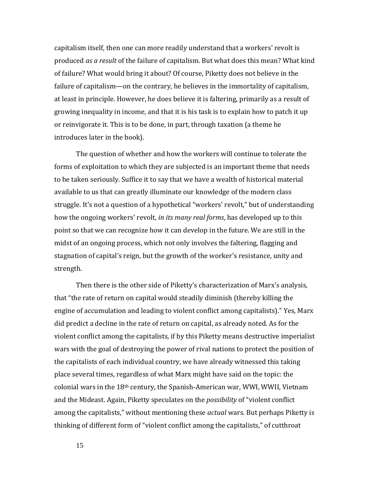capitalism itself, then one can more readily understand that a workers' revolt is produced *as a result* of the failure of capitalism. But what does this mean? What kind of failure? What would bring it about? Of course, Piketty does not believe in the failure of capitalism—on the contrary, he believes in the immortality of capitalism, at least in principle. However, he does believe it is faltering, primarily as a result of growing inequality in income, and that it is his task is to explain how to patch it up or reinvigorate it. This is to be done, in part, through taxation (a theme he introduces later in the book).

The question of whether and how the workers will continue to tolerate the forms of exploitation to which they are subjected is an important theme that needs to be taken seriously. Suffice it to say that we have a wealth of historical material available to us that can greatly illuminate our knowledge of the modern class struggle. It's not a question of a hypothetical "workers' revolt," but of understanding how the ongoing workers' revolt, *in its many real forms*, has developed up to this point so that we can recognize how it can develop in the future. We are still in the midst of an ongoing process, which not only involves the faltering, flagging and stagnation of capital's reign, but the growth of the worker's resistance, unity and strength.

Then there is the other side of Piketty's characterization of Marx's analysis, that "the rate of return on capital would steadily diminish (thereby killing the engine of accumulation and leading to violent conflict among capitalists)." Yes, Marx did predict a decline in the rate of return on capital, as already noted. As for the violent conflict among the capitalists, if by this Piketty means destructive imperialist wars with the goal of destroying the power of rival nations to protect the position of the capitalists of each individual country, we have already witnessed this taking place several times, regardless of what Marx might have said on the topic: the colonial wars in the 18th century, the Spanish-American war, WWI, WWII, Vietnam and the Mideast. Again, Piketty speculates on the *possibility* of "violent conflict among the capitalists," without mentioning these *actual* wars. But perhaps Piketty is thinking of different form of "violent conflict among the capitalists," of cutthroat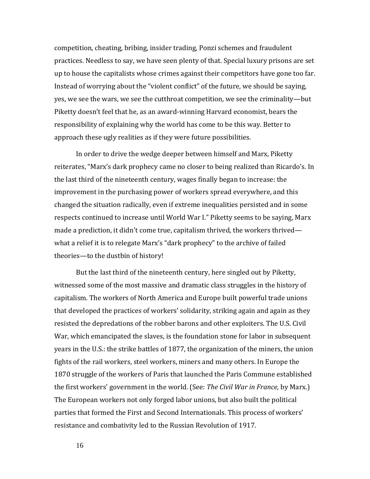competition, cheating, bribing, insider trading, Ponzi schemes and fraudulent practices. Needless to say, we have seen plenty of that. Special luxury prisons are set up to house the capitalists whose crimes against their competitors have gone too far. Instead of worrying about the "violent conflict" of the future, we should be saying, yes, we see the wars, we see the cutthroat competition, we see the criminality—but Piketty doesn't feel that he, as an award-winning Harvard economist, bears the responsibility of explaining why the world has come to be this way. Better to approach these ugly realities as if they were future possibilities.

In order to drive the wedge deeper between himself and Marx, Piketty reiterates, "Marx's dark prophecy came no closer to being realized than Ricardo's. In the last third of the nineteenth century, wages finally began to increase: the improvement in the purchasing power of workers spread everywhere, and this changed the situation radically, even if extreme inequalities persisted and in some respects continued to increase until World War I." Piketty seems to be saying, Marx made a prediction, it didn't come true, capitalism thrived, the workers thrived what a relief it is to relegate Marx's "dark prophecy" to the archive of failed theories—to the dustbin of history!

But the last third of the nineteenth century, here singled out by Piketty, witnessed some of the most massive and dramatic class struggles in the history of capitalism. The workers of North America and Europe built powerful trade unions that developed the practices of workers' solidarity, striking again and again as they resisted the depredations of the robber barons and other exploiters. The U.S. Civil War, which emancipated the slaves, is the foundation stone for labor in subsequent years in the U.S.: the strike battles of 1877, the organization of the miners, the union fights of the rail workers, steel workers, miners and many others. In Europe the 1870 struggle of the workers of Paris that launched the Paris Commune established the first workers' government in the world. (See: *The Civil War in France,* by Marx.) The European workers not only forged labor unions, but also built the political parties that formed the First and Second Internationals. This process of workers' resistance and combativity led to the Russian Revolution of 1917.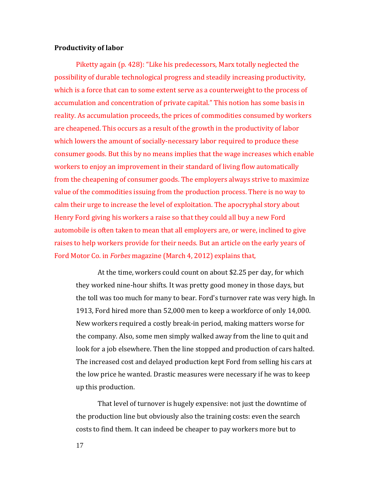#### **Productivity of labor**

Piketty again (p. 428): "Like his predecessors, Marx totally neglected the possibility of durable technological progress and steadily increasing productivity, which is a force that can to some extent serve as a counterweight to the process of accumulation and concentration of private capital." This notion has some basis in reality. As accumulation proceeds, the prices of commodities consumed by workers are cheapened. This occurs as a result of the growth in the productivity of labor which lowers the amount of socially-necessary labor required to produce these consumer goods. But this by no means implies that the wage increases which enable workers to enjoy an improvement in their standard of living flow automatically from the cheapening of consumer goods. The employers always strive to maximize value of the commodities issuing from the production process. There is no way to calm their urge to increase the level of exploitation. The apocryphal story about Henry Ford giving his workers a raise so that they could all buy a new Ford automobile is often taken to mean that all employers are, or were, inclined to give raises to help workers provide for their needs. But an article on the early years of Ford Motor Co. in *Forbes* magazine (March 4, 2012) explains that,

At the time, workers could count on about \$2.25 per day, for which they worked nine-hour shifts. It was pretty good money in those days, but the toll was too much for many to bear. Ford's turnover rate was very high. In 1913, Ford hired more than 52,000 men to keep a workforce of only 14,000. New workers required a costly break-in period, making matters worse for the company. Also, some men simply walked away from the line to quit and look for a job elsewhere. Then the line stopped and production of cars halted. The increased cost and delayed production kept Ford from selling his cars at the low price he wanted. Drastic measures were necessary if he was to keep up this production.

That level of turnover is hugely expensive: not just the downtime of the production line but obviously also the training costs: even the search costs to find them. It can indeed be cheaper to pay workers more but to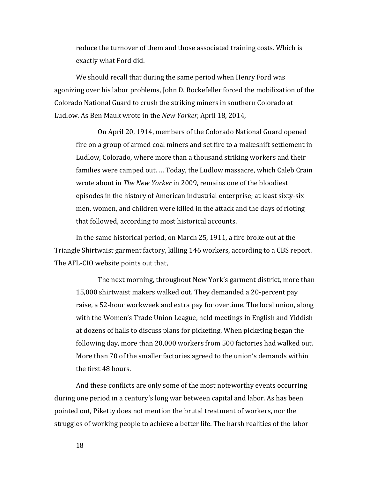reduce the turnover of them and those associated training costs. Which is exactly what Ford did.

We should recall that during the same period when Henry Ford was agonizing over his labor problems, John D. Rockefeller forced the mobilization of the Colorado National Guard to crush the striking miners in southern Colorado at Ludlow. As Ben Mauk wrote in the *New Yorker,* April 18, 2014,

On April 20, 1914, members of the Colorado National Guard opened fire on a group of armed coal miners and set fire to a makeshift settlement in Ludlow, Colorado, where more than a thousand striking workers and their families were camped out. … Today, the Ludlow massacre, which Caleb Crain wrote about in *The New Yorker* in 2009, remains one of the bloodiest episodes in the history of American industrial enterprise; at least sixty-six men, women, and children were killed in the attack and the days of rioting that followed, according to most historical accounts.

In the same historical period, on March 25, 1911, a fire broke out at the Triangle Shirtwaist garment factory, killing 146 workers, according to a CBS report. The AFL-CIO website points out that,

The next morning, throughout New York's garment district, more than 15,000 shirtwaist makers walked out. They demanded a 20-percent pay raise, a 52-hour workweek and extra pay for overtime. The local union, along with the Women's Trade Union League, held meetings in English and Yiddish at dozens of halls to discuss plans for picketing. When picketing began the following day, more than 20,000 workers from 500 factories had walked out. More than 70 of the smaller factories agreed to the union's demands within the first 48 hours.

And these conflicts are only some of the most noteworthy events occurring during one period in a century's long war between capital and labor. As has been pointed out, Piketty does not mention the brutal treatment of workers, nor the struggles of working people to achieve a better life. The harsh realities of the labor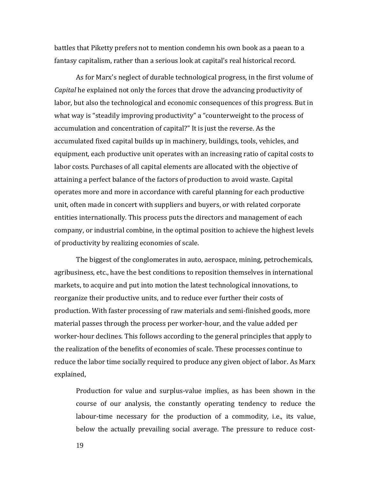battles that Piketty prefers not to mention condemn his own book as a paean to a fantasy capitalism, rather than a serious look at capital's real historical record.

As for Marx's neglect of durable technological progress, in the first volume of *Capital* he explained not only the forces that drove the advancing productivity of labor, but also the technological and economic consequences of this progress. But in what way is "steadily improving productivity" a "counterweight to the process of accumulation and concentration of capital?" It is just the reverse. As the accumulated fixed capital builds up in machinery, buildings, tools, vehicles, and equipment, each productive unit operates with an increasing ratio of capital costs to labor costs. Purchases of all capital elements are allocated with the objective of attaining a perfect balance of the factors of production to avoid waste. Capital operates more and more in accordance with careful planning for each productive unit, often made in concert with suppliers and buyers, or with related corporate entities internationally. This process puts the directors and management of each company, or industrial combine, in the optimal position to achieve the highest levels of productivity by realizing economies of scale.

The biggest of the conglomerates in auto, aerospace, mining, petrochemicals, agribusiness, etc., have the best conditions to reposition themselves in international markets, to acquire and put into motion the latest technological innovations, to reorganize their productive units, and to reduce ever further their costs of production. With faster processing of raw materials and semi-finished goods, more material passes through the process per worker-hour, and the value added per worker-hour declines. This follows according to the general principles that apply to the realization of the benefits of economies of scale. These processes continue to reduce the labor time socially required to produce any given object of labor. As Marx explained,

Production for value and surplus-value implies, as has been shown in the course of our analysis, the constantly operating tendency to reduce the labour-time necessary for the production of a commodity, i.e., its value, below the actually prevailing social average. The pressure to reduce cost-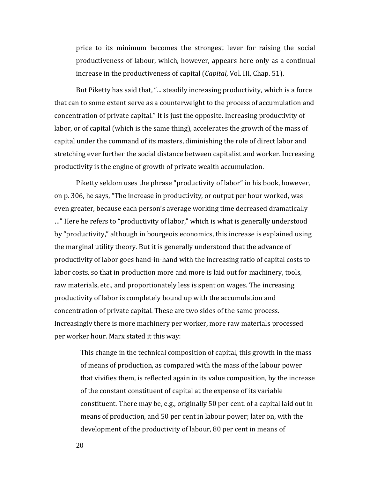price to its minimum becomes the strongest lever for raising the social productiveness of labour, which, however, appears here only as a continual increase in the productiveness of capital (*Capital*, Vol. III, Chap. 51).

But Piketty has said that, "... steadily increasing productivity, which is a force that can to some extent serve as a counterweight to the process of accumulation and concentration of private capital." It is just the opposite. Increasing productivity of labor, or of capital (which is the same thing), accelerates the growth of the mass of capital under the command of its masters, diminishing the role of direct labor and stretching ever further the social distance between capitalist and worker. Increasing productivity is the engine of growth of private wealth accumulation.

Piketty seldom uses the phrase "productivity of labor" in his book, however, on p. 306, he says, "The increase in productivity, or output per hour worked, was even greater, because each person's average working time decreased dramatically …" Here he refers to "productivity of labor," which is what is generally understood by "productivity," although in bourgeois economics, this increase is explained using the marginal utility theory. But it is generally understood that the advance of productivity of labor goes hand-in-hand with the increasing ratio of capital costs to labor costs, so that in production more and more is laid out for machinery, tools, raw materials, etc., and proportionately less is spent on wages. The increasing productivity of labor is completely bound up with the accumulation and concentration of private capital. These are two sides of the same process. Increasingly there is more machinery per worker, more raw materials processed per worker hour. Marx stated it this way:

This change in the technical composition of capital, this growth in the mass of means of production, as compared with the mass of the labour power that vivifies them, is reflected again in its value composition, by the increase of the constant constituent of capital at the expense of its variable constituent. There may be, e.g., originally 50 per cent. of a capital laid out in means of production, and 50 per cent in labour power; later on, with the development of the productivity of labour, 80 per cent in means of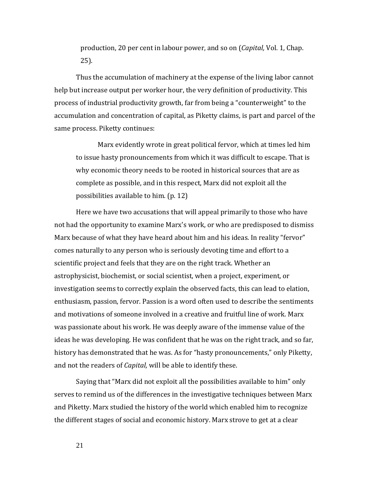production, 20 per cent in labour power, and so on (*Capital,* Vol. 1, Chap. 25).

Thus the accumulation of machinery at the expense of the living labor cannot help but increase output per worker hour, the very definition of productivity. This process of industrial productivity growth, far from being a "counterweight" to the accumulation and concentration of capital, as Piketty claims, is part and parcel of the same process. Piketty continues:

Marx evidently wrote in great political fervor, which at times led him to issue hasty pronouncements from which it was difficult to escape. That is why economic theory needs to be rooted in historical sources that are as complete as possible, and in this respect, Marx did not exploit all the possibilities available to him. (p. 12)

Here we have two accusations that will appeal primarily to those who have not had the opportunity to examine Marx's work, or who are predisposed to dismiss Marx because of what they have heard about him and his ideas. In reality "fervor" comes naturally to any person who is seriously devoting time and effort to a scientific project and feels that they are on the right track. Whether an astrophysicist, biochemist, or social scientist, when a project, experiment, or investigation seems to correctly explain the observed facts, this can lead to elation, enthusiasm, passion, fervor. Passion is a word often used to describe the sentiments and motivations of someone involved in a creative and fruitful line of work. Marx was passionate about his work. He was deeply aware of the immense value of the ideas he was developing. He was confident that he was on the right track, and so far, history has demonstrated that he was. As for "hasty pronouncements," only Piketty, and not the readers of *Capital,* will be able to identify these.

Saying that "Marx did not exploit all the possibilities available to him" only serves to remind us of the differences in the investigative techniques between Marx and Piketty. Marx studied the history of the world which enabled him to recognize the different stages of social and economic history. Marx strove to get at a clear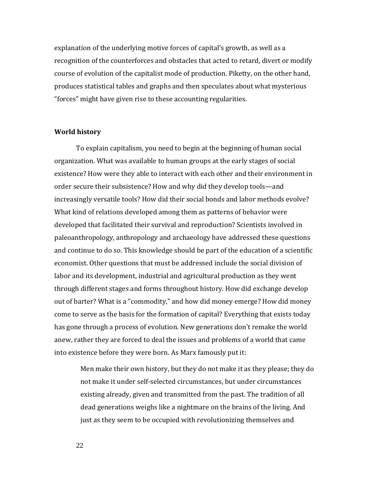explanation of the underlying motive forces of capital's growth, as well as a recognition of the counterforces and obstacles that acted to retard, divert or modify course of evolution of the capitalist mode of production. Piketty, on the other hand, produces statistical tables and graphs and then speculates about what mysterious "forces" might have given rise to these accounting regularities.

#### **World history**

To explain capitalism, you need to begin at the beginning of human social organization. What was available to human groups at the early stages of social existence? How were they able to interact with each other and their environment in order secure their subsistence? How and why did they develop tools—and increasingly versatile tools? How did their social bonds and labor methods evolve? What kind of relations developed among them as patterns of behavior were developed that facilitated their survival and reproduction? Scientists involved in paleoanthropology, anthropology and archaeology have addressed these questions and continue to do so. This knowledge should be part of the education of a scientific economist. Other questions that must be addressed include the social division of labor and its development, industrial and agricultural production as they went through different stages and forms throughout history. How did exchange develop out of barter? What is a "commodity," and how did money emerge? How did money come to serve as the basis for the formation of capital? Everything that exists today has gone through a process of evolution. New generations don't remake the world anew, rather they are forced to deal the issues and problems of a world that came into existence before they were born. As Marx famously put it:

Men make their own history, but they do not make it as they please; they do not make it under self-selected circumstances, but under circumstances existing already, given and transmitted from the past. The tradition of all dead generations weighs like a nightmare on the brains of the living. And just as they seem to be occupied with revolutionizing themselves and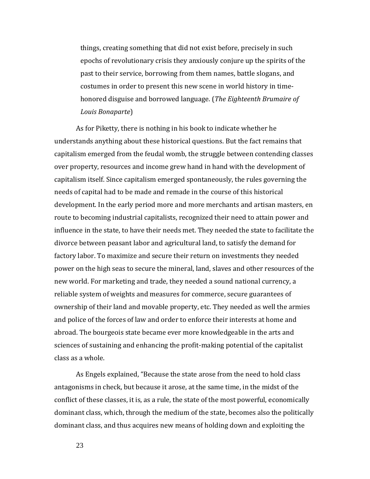things, creating something that did not exist before, precisely in such epochs of revolutionary crisis they anxiously conjure up the spirits of the past to their service, borrowing from them names, battle slogans, and costumes in order to present this new scene in world history in timehonored disguise and borrowed language. (*The Eighteenth Brumaire of Louis Bonaparte*)

As for Piketty, there is nothing in his book to indicate whether he understands anything about these historical questions. But the fact remains that capitalism emerged from the feudal womb, the struggle between contending classes over property, resources and income grew hand in hand with the development of capitalism itself. Since capitalism emerged spontaneously, the rules governing the needs of capital had to be made and remade in the course of this historical development. In the early period more and more merchants and artisan masters, en route to becoming industrial capitalists, recognized their need to attain power and influence in the state, to have their needs met. They needed the state to facilitate the divorce between peasant labor and agricultural land, to satisfy the demand for factory labor. To maximize and secure their return on investments they needed power on the high seas to secure the mineral, land, slaves and other resources of the new world. For marketing and trade, they needed a sound national currency, a reliable system of weights and measures for commerce, secure guarantees of ownership of their land and movable property, etc. They needed as well the armies and police of the forces of law and order to enforce their interests at home and abroad. The bourgeois state became ever more knowledgeable in the arts and sciences of sustaining and enhancing the profit-making potential of the capitalist class as a whole.

As Engels explained, "Because the state arose from the need to hold class antagonisms in check, but because it arose, at the same time, in the midst of the conflict of these classes, it is, as a rule, the state of the most powerful, economically dominant class, which, through the medium of the state, becomes also the politically dominant class, and thus acquires new means of holding down and exploiting the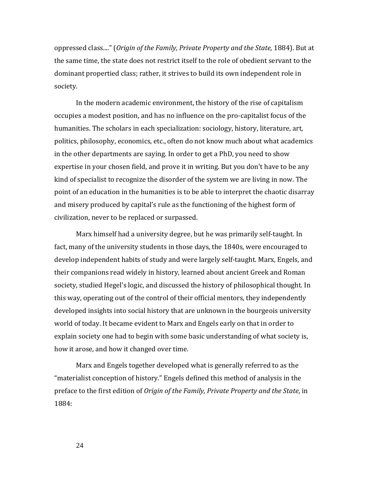oppressed class...." (*Origin of the Family, Private Property and the State,* 1884). But at the same time, the state does not restrict itself to the role of obedient servant to the dominant propertied class; rather, it strives to build its own independent role in society.

In the modern academic environment, the history of the rise of capitalism occupies a modest position, and has no influence on the pro-capitalist focus of the humanities. The scholars in each specialization: sociology, history, literature, art, politics, philosophy, economics, etc., often do not know much about what academics in the other departments are saying. In order to get a PhD, you need to show expertise in your chosen field, and prove it in writing. But you don't have to be any kind of specialist to recognize the disorder of the system we are living in now. The point of an education in the humanities is to be able to interpret the chaotic disarray and misery produced by capital's rule as the functioning of the highest form of civilization, never to be replaced or surpassed.

Marx himself had a university degree, but he was primarily self-taught. In fact, many of the university students in those days, the 1840s, were encouraged to develop independent habits of study and were largely self-taught. Marx, Engels, and their companions read widely in history, learned about ancient Greek and Roman society, studied Hegel's logic, and discussed the history of philosophical thought. In this way, operating out of the control of their official mentors, they independently developed insights into social history that are unknown in the bourgeois university world of today. It became evident to Marx and Engels early on that in order to explain society one had to begin with some basic understanding of what society is, how it arose, and how it changed over time.

Marx and Engels together developed what is generally referred to as the "materialist conception of history." Engels defined this method of analysis in the preface to the first edition of *Origin of the Family, Private Property and the State*, in 1884: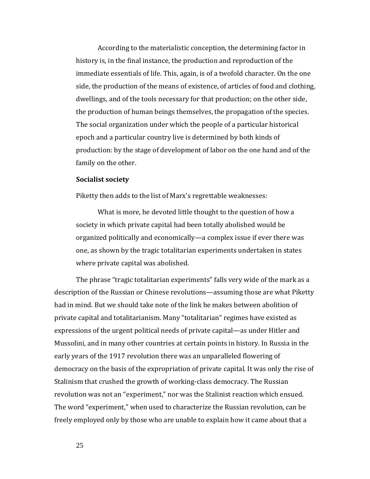According to the materialistic conception, the determining factor in history is, in the final instance, the production and reproduction of the immediate essentials of life. This, again, is of a twofold character. On the one side, the production of the means of existence, of articles of food and clothing, dwellings, and of the tools necessary for that production; on the other side, the production of human beings themselves, the propagation of the species. The social organization under which the people of a particular historical epoch and a particular country live is determined by both kinds of production: by the stage of development of labor on the one hand and of the family on the other.

#### **Socialist society**

Piketty then adds to the list of Marx's regrettable weaknesses:

What is more, he devoted little thought to the question of how a society in which private capital had been totally abolished would be organized politically and economically—a complex issue if ever there was one, as shown by the tragic totalitarian experiments undertaken in states where private capital was abolished.

The phrase "tragic totalitarian experiments" falls very wide of the mark as a description of the Russian or Chinese revolutions—assuming those are what Piketty had in mind. But we should take note of the link he makes between abolition of private capital and totalitarianism. Many "totalitarian" regimes have existed as expressions of the urgent political needs of private capital—as under Hitler and Mussolini, and in many other countries at certain points in history. In Russia in the early years of the 1917 revolution there was an unparalleled flowering of democracy on the basis of the expropriation of private capital. It was only the rise of Stalinism that crushed the growth of working-class democracy. The Russian revolution was not an "experiment," nor was the Stalinist reaction which ensued. The word "experiment," when used to characterize the Russian revolution, can be freely employed only by those who are unable to explain how it came about that a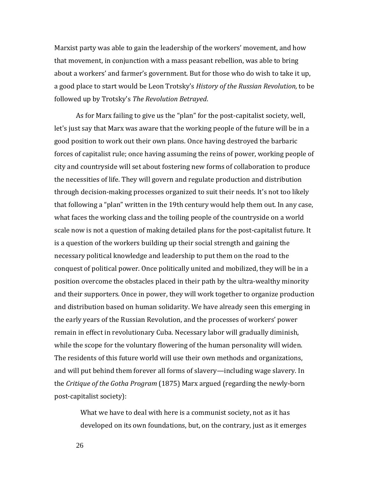Marxist party was able to gain the leadership of the workers' movement, and how that movement, in conjunction with a mass peasant rebellion, was able to bring about a workers' and farmer's government. But for those who do wish to take it up, a good place to start would be Leon Trotsky's *History of the Russian Revolution,* to be followed up by Trotsky's *The Revolution Betrayed*.

As for Marx failing to give us the "plan" for the post-capitalist society, well, let's just say that Marx was aware that the working people of the future will be in a good position to work out their own plans. Once having destroyed the barbaric forces of capitalist rule; once having assuming the reins of power, working people of city and countryside will set about fostering new forms of collaboration to produce the necessities of life. They will govern and regulate production and distribution through decision-making processes organized to suit their needs. It's not too likely that following a "plan" written in the 19th century would help them out. In any case, what faces the working class and the toiling people of the countryside on a world scale now is not a question of making detailed plans for the post-capitalist future. It is a question of the workers building up their social strength and gaining the necessary political knowledge and leadership to put them on the road to the conquest of political power. Once politically united and mobilized, they will be in a position overcome the obstacles placed in their path by the ultra-wealthy minority and their supporters. Once in power, they will work together to organize production and distribution based on human solidarity. We have already seen this emerging in the early years of the Russian Revolution, and the processes of workers' power remain in effect in revolutionary Cuba. Necessary labor will gradually diminish, while the scope for the voluntary flowering of the human personality will widen. The residents of this future world will use their own methods and organizations, and will put behind them forever all forms of slavery—including wage slavery. In the *Critique of the Gotha Program* (1875) Marx argued (regarding the newly-born post-capitalist society):

What we have to deal with here is a communist society, not as it has developed on its own foundations, but, on the contrary, just as it emerges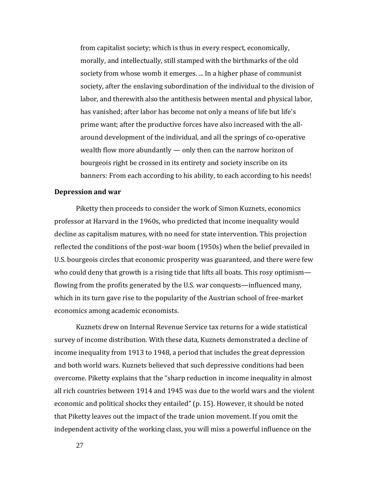from capitalist society; which is thus in every respect, economically, morally, and intellectually, still stamped with the birthmarks of the old society from whose womb it emerges. ... In a higher phase of communist society, after the enslaving subordination of the individual to the division of labor, and therewith also the antithesis between mental and physical labor, has vanished; after labor has become not only a means of life but life's prime want; after the productive forces have also increased with the allaround development of the individual, and all the springs of co-operative wealth flow more abundantly — only then can the narrow horizon of bourgeois right be crossed in its entirety and society inscribe on its banners: From each according to his ability, to each according to his needs!

#### **Depression and war**

Piketty then proceeds to consider the work of Simon Kuznets, economics professor at Harvard in the 1960s, who predicted that income inequality would decline as capitalism matures, with no need for state intervention. This projection reflected the conditions of the post-war boom (1950s) when the belief prevailed in U.S. bourgeois circles that economic prosperity was guaranteed, and there were few who could deny that growth is a rising tide that lifts all boats. This rosy optimism flowing from the profits generated by the U.S. war conquests—influenced many, which in its turn gave rise to the popularity of the Austrian school of free-market economics among academic economists.

Kuznets drew on Internal Revenue Service tax returns for a wide statistical survey of income distribution. With these data, Kuznets demonstrated a decline of income inequality from 1913 to 1948, a period that includes the great depression and both world wars. Kuznets believed that such depressive conditions had been overcome. Piketty explains that the "sharp reduction in income inequality in almost all rich countries between 1914 and 1945 was due to the world wars and the violent economic and political shocks they entailed" (p. 15). However, it should be noted that Piketty leaves out the impact of the trade union movement. If you omit the independent activity of the working class, you will miss a powerful influence on the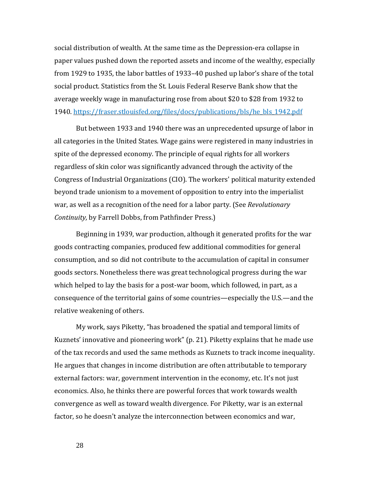social distribution of wealth. At the same time as the Depression-era collapse in paper values pushed down the reported assets and income of the wealthy, especially from 1929 to 1935, the labor battles of 1933–40 pushed up labor's share of the total social product. Statistics from the St. Louis Federal Reserve Bank show that the average weekly wage in manufacturing rose from about \$20 to \$28 from 1932 to 1940. [https://fraser.stlouisfed.org/files/docs/publications/bls/he\\_bls\\_1942.pdf](https://fraser.stlouisfed.org/files/docs/publications/bls/he_bls_1942.pdf)

But between 1933 and 1940 there was an unprecedented upsurge of labor in all categories in the United States. Wage gains were registered in many industries in spite of the depressed economy. The principle of equal rights for all workers regardless of skin color was significantly advanced through the activity of the Congress of Industrial Organizations (CIO). The workers' political maturity extended beyond trade unionism to a movement of opposition to entry into the imperialist war, as well as a recognition of the need for a labor party. (See *Revolutionary Continuity,* by Farrell Dobbs, from Pathfinder Press.)

Beginning in 1939, war production, although it generated profits for the war goods contracting companies, produced few additional commodities for general consumption, and so did not contribute to the accumulation of capital in consumer goods sectors. Nonetheless there was great technological progress during the war which helped to lay the basis for a post-war boom, which followed, in part, as a consequence of the territorial gains of some countries—especially the U.S.—and the relative weakening of others.

My work, says Piketty, "has broadened the spatial and temporal limits of Kuznets' innovative and pioneering work" (p. 21). Piketty explains that he made use of the tax records and used the same methods as Kuznets to track income inequality. He argues that changes in income distribution are often attributable to temporary external factors: war, government intervention in the economy, etc. It's not just economics. Also, he thinks there are powerful forces that work towards wealth convergence as well as toward wealth divergence. For Piketty, war is an external factor, so he doesn't analyze the interconnection between economics and war,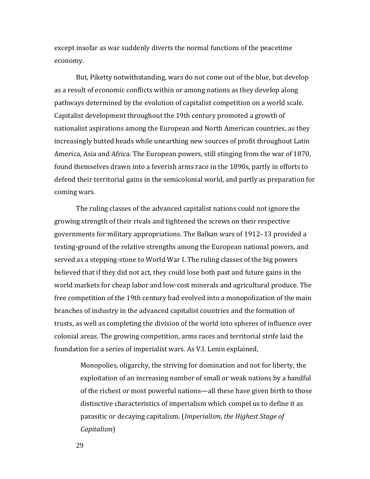except insofar as war suddenly diverts the normal functions of the peacetime economy.

But, Piketty notwithstanding, wars do not come out of the blue, but develop as a result of economic conflicts within or among nations as they develop along pathways determined by the evolution of capitalist competition on a world scale. Capitalist development throughout the 19th century promoted a growth of nationalist aspirations among the European and North American countries, as they increasingly butted heads while unearthing new sources of profit throughout Latin America, Asia and Africa. The European powers, still stinging from the war of 1870, found themselves drawn into a feverish arms race in the 1890s, partly in efforts to defend their territorial gains in the semicolonial world, and partly as preparation for coming wars.

The ruling classes of the advanced capitalist nations could not ignore the growing strength of their rivals and tightened the screws on their respective governments for military appropriations. The Balkan wars of 1912–13 provided a testing-ground of the relative strengths among the European national powers, and served as a stepping-stone to World War I. The ruling classes of the big powers believed that if they did not act, they could lose both past and future gains in the world markets for cheap labor and low-cost minerals and agricultural produce. The free competition of the 19th century had evolved into a monopolization of the main branches of industry in the advanced capitalist countries and the formation of trusts, as well as completing the division of the world into spheres of influence over colonial areas. The growing competition, arms races and territorial strife laid the foundation for a series of imperialist wars. As V.I. Lenin explained,

Monopolies, oligarchy, the striving for domination and not for liberty, the exploitation of an increasing number of small or weak nations by a handful of the richest or most powerful nations—all these have given birth to those distinctive characteristics of imperialism which compel us to define it as parasitic or decaying capitalism. (*Imperialism, the Highest Stage of Capitalism*)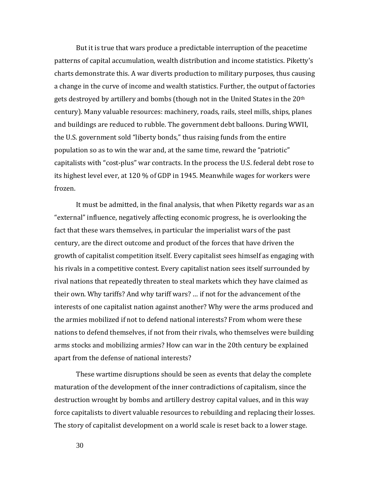But it is true that wars produce a predictable interruption of the peacetime patterns of capital accumulation, wealth distribution and income statistics. Piketty's charts demonstrate this. A war diverts production to military purposes, thus causing a change in the curve of income and wealth statistics. Further, the output of factories gets destroyed by artillery and bombs (though not in the United States in the  $20<sup>th</sup>$ century). Many valuable resources: machinery, roads, rails, steel mills, ships, planes and buildings are reduced to rubble. The government debt balloons. During WWII, the U.S. government sold "liberty bonds," thus raising funds from the entire population so as to win the war and, at the same time, reward the "patriotic" capitalists with "cost-plus" war contracts. In the process the U.S. federal debt rose to its highest level ever, at 120 % of GDP in 1945. Meanwhile wages for workers were frozen.

It must be admitted, in the final analysis, that when Piketty regards war as an "external" influence, negatively affecting economic progress, he is overlooking the fact that these wars themselves, in particular the imperialist wars of the past century, are the direct outcome and product of the forces that have driven the growth of capitalist competition itself. Every capitalist sees himself as engaging with his rivals in a competitive contest. Every capitalist nation sees itself surrounded by rival nations that repeatedly threaten to steal markets which they have claimed as their own. Why tariffs? And why tariff wars? … if not for the advancement of the interests of one capitalist nation against another? Why were the arms produced and the armies mobilized if not to defend national interests? From whom were these nations to defend themselves, if not from their rivals, who themselves were building arms stocks and mobilizing armies? How can war in the 20th century be explained apart from the defense of national interests?

These wartime disruptions should be seen as events that delay the complete maturation of the development of the inner contradictions of capitalism, since the destruction wrought by bombs and artillery destroy capital values, and in this way force capitalists to divert valuable resources to rebuilding and replacing their losses. The story of capitalist development on a world scale is reset back to a lower stage.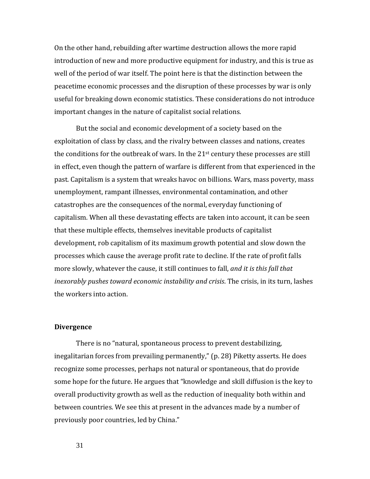On the other hand, rebuilding after wartime destruction allows the more rapid introduction of new and more productive equipment for industry, and this is true as well of the period of war itself. The point here is that the distinction between the peacetime economic processes and the disruption of these processes by war is only useful for breaking down economic statistics. These considerations do not introduce important changes in the nature of capitalist social relations.

But the social and economic development of a society based on the exploitation of class by class, and the rivalry between classes and nations, creates the conditions for the outbreak of wars. In the  $21<sup>st</sup>$  century these processes are still in effect, even though the pattern of warfare is different from that experienced in the past. Capitalism is a system that wreaks havoc on billions. Wars, mass poverty, mass unemployment, rampant illnesses, environmental contamination, and other catastrophes are the consequences of the normal, everyday functioning of capitalism. When all these devastating effects are taken into account, it can be seen that these multiple effects, themselves inevitable products of capitalist development, rob capitalism of its maximum growth potential and slow down the processes which cause the average profit rate to decline. If the rate of profit falls more slowly, whatever the cause, it still continues to fall, *and it is this fall that inexorably pushes toward economic instability and crisis*. The crisis, in its turn, lashes the workers into action.

#### **Divergence**

There is no "natural, spontaneous process to prevent destabilizing, inegalitarian forces from prevailing permanently," (p. 28) Piketty asserts. He does recognize some processes, perhaps not natural or spontaneous, that do provide some hope for the future. He argues that "knowledge and skill diffusion is the key to overall productivity growth as well as the reduction of inequality both within and between countries. We see this at present in the advances made by a number of previously poor countries, led by China."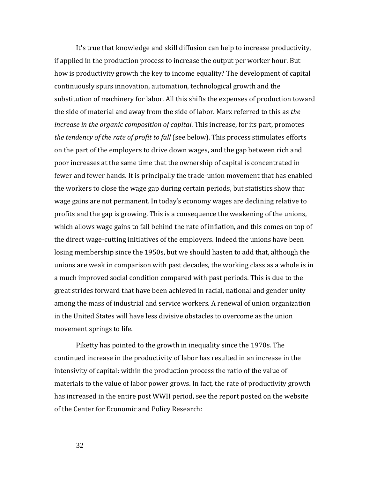It's true that knowledge and skill diffusion can help to increase productivity, if applied in the production process to increase the output per worker hour. But how is productivity growth the key to income equality? The development of capital continuously spurs innovation, automation, technological growth and the substitution of machinery for labor. All this shifts the expenses of production toward the side of material and away from the side of labor. Marx referred to this as *the increase in the organic composition of capital*. This increase, for its part, promotes *the tendency of the rate of profit to fall* (see below). This process stimulates efforts on the part of the employers to drive down wages, and the gap between rich and poor increases at the same time that the ownership of capital is concentrated in fewer and fewer hands. It is principally the trade-union movement that has enabled the workers to close the wage gap during certain periods, but statistics show that wage gains are not permanent. In today's economy wages are declining relative to profits and the gap is growing. This is a consequence the weakening of the unions, which allows wage gains to fall behind the rate of inflation, and this comes on top of the direct wage-cutting initiatives of the employers. Indeed the unions have been losing membership since the 1950s, but we should hasten to add that, although the unions are weak in comparison with past decades, the working class as a whole is in a much improved social condition compared with past periods. This is due to the great strides forward that have been achieved in racial, national and gender unity among the mass of industrial and service workers. A renewal of union organization in the United States will have less divisive obstacles to overcome as the union movement springs to life.

Piketty has pointed to the growth in inequality since the 1970s. The continued increase in the productivity of labor has resulted in an increase in the intensivity of capital: within the production process the ratio of the value of materials to the value of labor power grows. In fact, the rate of productivity growth has increased in the entire post WWII period, see the report posted on the website of the Center for Economic and Policy Research: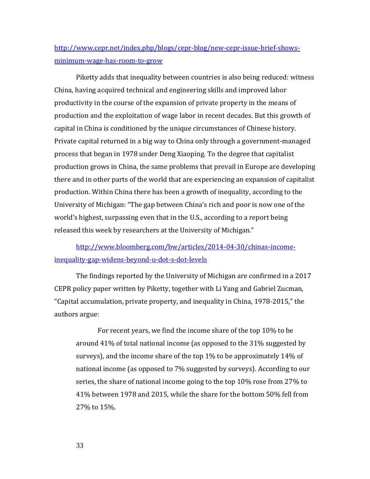## [http://www.cepr.net/index.php/blogs/cepr-blog/new-cepr-issue-brief-shows](http://www.cepr.net/index.php/blogs/cepr-blog/new-cepr-issue-brief-shows-minimum-wage-has-room-to-grow%252520)[minimum-wage-has-room-to-grow](http://www.cepr.net/index.php/blogs/cepr-blog/new-cepr-issue-brief-shows-minimum-wage-has-room-to-grow%252520)

Piketty adds that inequality between countries is also being reduced: witness China, having acquired technical and engineering skills and improved labor productivity in the course of the expansion of private property in the means of production and the exploitation of wage labor in recent decades. But this growth of capital in China is conditioned by the unique circumstances of Chinese history. Private capital returned in a big way to China only through a government-managed process that began in 1978 under Deng Xiaoping. To the degree that capitalist production grows in China, the same problems that prevail in Europe are developing there and in other parts of the world that are experiencing an expansion of capitalist production. Within China there has been a growth of inequality, according to the University of Michigan: "The gap between China's rich and poor is now one of the world's highest, surpassing even that in the U.S., according to a report being released this week by researchers at the University of Michigan."

[http://www.bloomberg.com/bw/articles/2014-04-30/chinas-income](http://www.bloomberg.com/bw/articles/2014-04-30/chinas-income-inequality-gap-widens-beyond-u-dot-s-dot-levels)[inequality-gap-widens-beyond-u-dot-s-dot-levels](http://www.bloomberg.com/bw/articles/2014-04-30/chinas-income-inequality-gap-widens-beyond-u-dot-s-dot-levels)

The findings reported by the University of Michigan are confirmed in a 2017 CEPR policy paper written by Piketty, together with Li Yang and Gabriel Zucman, "Capital accumulation, private property, and inequality in China, 1978-2015," the authors argue:

For recent years, we find the income share of the top 10% to be around 41% of total national income (as opposed to the 31% suggested by surveys), and the income share of the top 1% to be approximately 14% of national income (as opposed to 7% suggested by surveys). According to our series, the share of national income going to the top 10% rose from 27% to 41% between 1978 and 2015, while the share for the bottom 50% fell from 27% to 15%.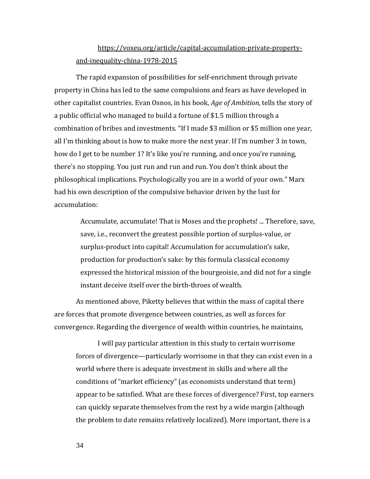## [https://voxeu.org/article/capital-accumulation-private-property](https://voxeu.org/article/capital-accumulation-private-property-and-inequality-china-1978-2015)[and-inequality-china-1978-2015](https://voxeu.org/article/capital-accumulation-private-property-and-inequality-china-1978-2015)

The rapid expansion of possibilities for self-enrichment through private property in China has led to the same compulsions and fears as have developed in other capitalist countries. Evan Osnos, in his book, *Age of Ambition,* tells the story of a public official who managed to build a fortune of \$1.5 million through a combination of bribes and investments. "If I made \$3 million or \$5 million one year, all I'm thinking about is how to make more the next year. If I'm number 3 in town, how do I get to be number 1? It's like you're running, and once you're running, there's no stopping. You just run and run and run. You don't think about the philosophical implications. Psychologically you are in a world of your own." Marx had his own description of the compulsive behavior driven by the lust for accumulation:

> Accumulate, accumulate! That is Moses and the prophets! ... Therefore, save, save, i.e., reconvert the greatest possible portion of surplus-value, or surplus-product into capital! Accumulation for accumulation's sake, production for production's sake: by this formula classical economy expressed the historical mission of the bourgeoisie, and did not for a single instant deceive itself over the birth-throes of wealth.

As mentioned above, Piketty believes that within the mass of capital there are forces that promote divergence between countries, as well as forces for convergence. Regarding the divergence of wealth within countries, he maintains,

I will pay particular attention in this study to certain worrisome forces of divergence—particularly worrisome in that they can exist even in a world where there is adequate investment in skills and where all the conditions of "market efficiency" (as economists understand that term) appear to be satisfied. What are these forces of divergence? First, top earners can quickly separate themselves from the rest by a wide margin (although the problem to date remains relatively localized). More important, there is a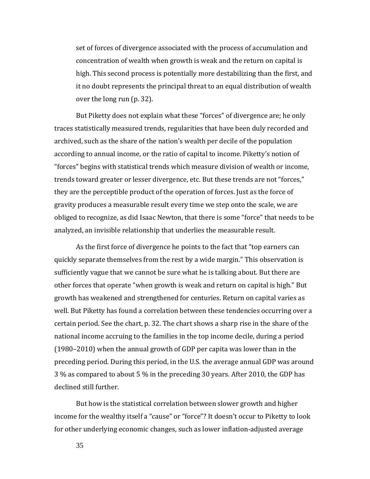set of forces of divergence associated with the process of accumulation and concentration of wealth when growth is weak and the return on capital is high. This second process is potentially more destabilizing than the first, and it no doubt represents the principal threat to an equal distribution of wealth over the long run (p. 32).

But Piketty does not explain what these "forces" of divergence are; he only traces statistically measured trends, regularities that have been duly recorded and archived, such as the share of the nation's wealth per decile of the population according to annual income, or the ratio of capital to income. Piketty's notion of "forces" begins with statistical trends which measure division of wealth or income, trends toward greater or lesser divergence, etc. But these trends are not "forces," they are the perceptible product of the operation of forces. Just as the force of gravity produces a measurable result every time we step onto the scale, we are obliged to recognize, as did Isaac Newton, that there is some "force" that needs to be analyzed, an invisible relationship that underlies the measurable result.

As the first force of divergence he points to the fact that "top earners can quickly separate themselves from the rest by a wide margin." This observation is sufficiently vague that we cannot be sure what he is talking about. But there are other forces that operate "when growth is weak and return on capital is high." But growth has weakened and strengthened for centuries. Return on capital varies as well. But Piketty has found a correlation between these tendencies occurring over a certain period. See the chart, p. 32. The chart shows a sharp rise in the share of the national income accruing to the families in the top income decile, during a period (1980–2010) when the annual growth of GDP per capita was lower than in the preceding period. During this period, in the U.S. the average annual GDP was around 3 % as compared to about 5 % in the preceding 30 years. After 2010, the GDP has declined still further.

But how is the statistical correlation between slower growth and higher income for the wealthy itself a "cause" or "force"? It doesn't occur to Piketty to look for other underlying economic changes, such as lower inflation-adjusted average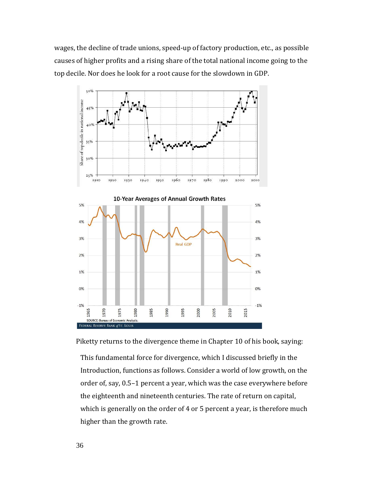wages, the decline of trade unions, speed-up of factory production, etc., as possible causes of higher profits and a rising share of the total national income going to the top decile. Nor does he look for a root cause for the slowdown in GDP.



Piketty returns to the divergence theme in Chapter 10 of his book, saying:

This fundamental force for divergence, which I discussed briefly in the Introduction, functions as follows. Consider a world of low growth, on the order of, say, 0.5–1 percent a year, which was the case everywhere before the eighteenth and nineteenth centuries. The rate of return on capital, which is generally on the order of 4 or 5 percent a year, is therefore much higher than the growth rate.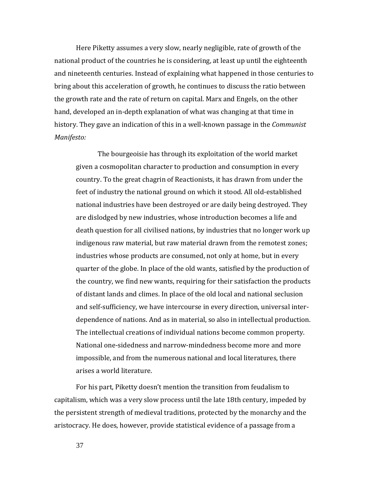Here Piketty assumes a very slow, nearly negligible, rate of growth of the national product of the countries he is considering, at least up until the eighteenth and nineteenth centuries. Instead of explaining what happened in those centuries to bring about this acceleration of growth, he continues to discuss the ratio between the growth rate and the rate of return on capital. Marx and Engels, on the other hand, developed an in-depth explanation of what was changing at that time in history. They gave an indication of this in a well-known passage in the *Communist Manifesto:*

The bourgeoisie has through its exploitation of the world market given a cosmopolitan character to production and consumption in every country. To the great chagrin of Reactionists, it has drawn from under the feet of industry the national ground on which it stood. All old-established national industries have been destroyed or are daily being destroyed. They are dislodged by new industries, whose introduction becomes a life and death question for all civilised nations, by industries that no longer work up indigenous raw material, but raw material drawn from the remotest zones; industries whose products are consumed, not only at home, but in every quarter of the globe. In place of the old wants, satisfied by the production of the country, we find new wants, requiring for their satisfaction the products of distant lands and climes. In place of the old local and national seclusion and self-sufficiency, we have intercourse in every direction, universal interdependence of nations. And as in material, so also in intellectual production. The intellectual creations of individual nations become common property. National one-sidedness and narrow-mindedness become more and more impossible, and from the numerous national and local literatures, there arises a world literature.

For his part, Piketty doesn't mention the transition from feudalism to capitalism, which was a very slow process until the late 18th century, impeded by the persistent strength of medieval traditions, protected by the monarchy and the aristocracy. He does, however, provide statistical evidence of a passage from a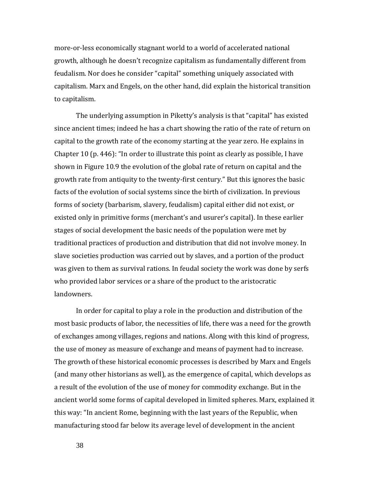more-or-less economically stagnant world to a world of accelerated national growth, although he doesn't recognize capitalism as fundamentally different from feudalism. Nor does he consider "capital" something uniquely associated with capitalism. Marx and Engels, on the other hand, did explain the historical transition to capitalism.

The underlying assumption in Piketty's analysis is that "capital" has existed since ancient times; indeed he has a chart showing the ratio of the rate of return on capital to the growth rate of the economy starting at the year zero. He explains in Chapter 10 (p. 446): "In order to illustrate this point as clearly as possible, I have shown in Figure 10.9 the evolution of the global rate of return on capital and the growth rate from antiquity to the twenty-first century." But this ignores the basic facts of the evolution of social systems since the birth of civilization. In previous forms of society (barbarism, slavery, feudalism) capital either did not exist, or existed only in primitive forms (merchant's and usurer's capital). In these earlier stages of social development the basic needs of the population were met by traditional practices of production and distribution that did not involve money. In slave societies production was carried out by slaves, and a portion of the product was given to them as survival rations. In feudal society the work was done by serfs who provided labor services or a share of the product to the aristocratic landowners.

In order for capital to play a role in the production and distribution of the most basic products of labor, the necessities of life, there was a need for the growth of exchanges among villages, regions and nations. Along with this kind of progress, the use of money as measure of exchange and means of payment had to increase. The growth of these historical economic processes is described by Marx and Engels (and many other historians as well), as the emergence of capital, which develops as a result of the evolution of the use of money for commodity exchange. But in the ancient world some forms of capital developed in limited spheres. Marx, explained it this way: "In ancient Rome, beginning with the last years of the Republic, when manufacturing stood far below its average level of development in the ancient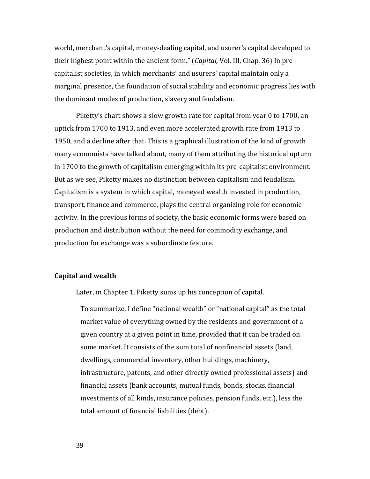world, merchant's capital, money-dealing capital, and usurer's capital developed to their highest point within the ancient form." (*Capital,* Vol. III, Chap. 36) In precapitalist societies, in which merchants' and usurers' capital maintain only a marginal presence, the foundation of social stability and economic progress lies with the dominant modes of production, slavery and feudalism.

Piketty's chart shows a slow growth rate for capital from year 0 to 1700, an uptick from 1700 to 1913, and even more accelerated growth rate from 1913 to 1950, and a decline after that. This is a graphical illustration of the kind of growth many economists have talked about, many of them attributing the historical upturn in 1700 to the growth of capitalism emerging within its pre-capitalist environment. But as we see, Piketty makes no distinction between capitalism and feudalism. Capitalism is a system in which capital, moneyed wealth invested in production, transport, finance and commerce, plays the central organizing role for economic activity. In the previous forms of society, the basic economic forms were based on production and distribution without the need for commodity exchange, and production for exchange was a subordinate feature.

## **Capital and wealth**

Later, in Chapter 1, Piketty sums up his conception of capital.

To summarize, I define "national wealth" or "national capital" as the total market value of everything owned by the residents and government of a given country at a given point in time, provided that it can be traded on some market. It consists of the sum total of nonfinancial assets (land, dwellings, commercial inventory, other buildings, machinery, infrastructure, patents, and other directly owned professional assets) and financial assets (bank accounts, mutual funds, bonds, stocks, financial investments of all kinds, insurance policies, pension funds, etc.), less the total amount of financial liabilities (debt).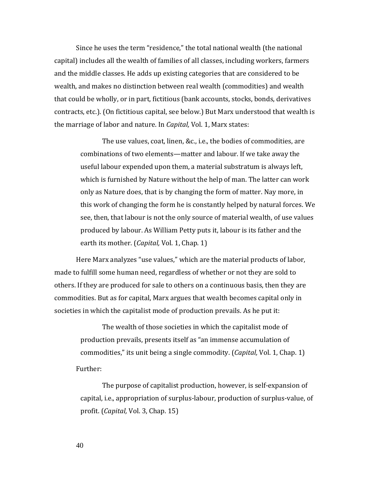Since he uses the term "residence," the total national wealth (the national capital) includes all the wealth of families of all classes, including workers, farmers and the middle classes. He adds up existing categories that are considered to be wealth, and makes no distinction between real wealth (commodities) and wealth that could be wholly, or in part, fictitious (bank accounts, stocks, bonds, derivatives contracts, etc.). (On fictitious capital, see below.) But Marx understood that wealth is the marriage of labor and nature. In *Capital,* Vol. 1, Marx states:

The use values, coat, linen, &c., i.e., the bodies of commodities, are combinations of two elements—matter and labour. If we take away the useful labour expended upon them, a material substratum is always left, which is furnished by Nature without the help of man. The latter can work only as Nature does, that is by changing the form of matter. Nay more, in this work of changing the form he is constantly helped by natural forces. We see, then, that labour is not the only source of material wealth, of use values produced by labour. As William Petty puts it, labour is its father and the earth its mother. (*Capital,* Vol. 1, Chap. 1)

Here Marx analyzes "use values," which are the material products of labor, made to fulfill some human need, regardless of whether or not they are sold to others. If they are produced for sale to others on a continuous basis, then they are commodities. But as for capital, Marx argues that wealth becomes capital only in societies in which the capitalist mode of production prevails. As he put it:

The wealth of those societies in which the capitalist mode of production prevails, presents itself as "an immense accumulation of commodities," its unit being a single commodity. (*Capital,* Vol. 1, Chap. 1) Further:

The purpose of capitalist production, however, is self-expansion of capital, i.e., appropriation of surplus-labour, production of surplus-value, of profit. (*Capital,* Vol. 3, Chap. 15)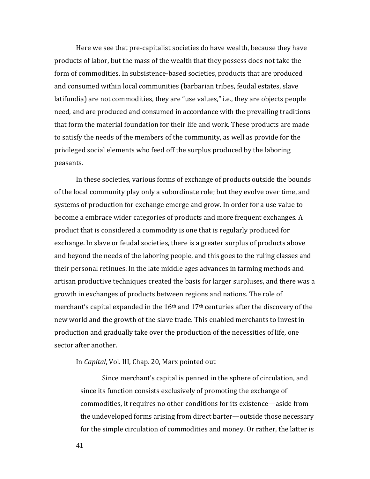Here we see that pre-capitalist societies do have wealth, because they have products of labor, but the mass of the wealth that they possess does not take the form of commodities. In subsistence-based societies, products that are produced and consumed within local communities (barbarian tribes, feudal estates, slave latifundia) are not commodities, they are "use values," i.e., they are objects people need, and are produced and consumed in accordance with the prevailing traditions that form the material foundation for their life and work. These products are made to satisfy the needs of the members of the community, as well as provide for the privileged social elements who feed off the surplus produced by the laboring peasants.

In these societies, various forms of exchange of products outside the bounds of the local community play only a subordinate role; but they evolve over time, and systems of production for exchange emerge and grow. In order for a use value to become a embrace wider categories of products and more frequent exchanges. A product that is considered a commodity is one that is regularly produced for exchange. In slave or feudal societies, there is a greater surplus of products above and beyond the needs of the laboring people, and this goes to the ruling classes and their personal retinues. In the late middle ages advances in farming methods and artisan productive techniques created the basis for larger surpluses, and there was a growth in exchanges of products between regions and nations. The role of merchant's capital expanded in the  $16<sup>th</sup>$  and  $17<sup>th</sup>$  centuries after the discovery of the new world and the growth of the slave trade. This enabled merchants to invest in production and gradually take over the production of the necessities of life, one sector after another.

#### In *Capital*, Vol. III, Chap. 20, Marx pointed out

Since merchant's capital is penned in the sphere of circulation, and since its function consists exclusively of promoting the exchange of commodities, it requires no other conditions for its existence—aside from the undeveloped forms arising from direct barter—outside those necessary for the simple circulation of commodities and money. Or rather, the latter is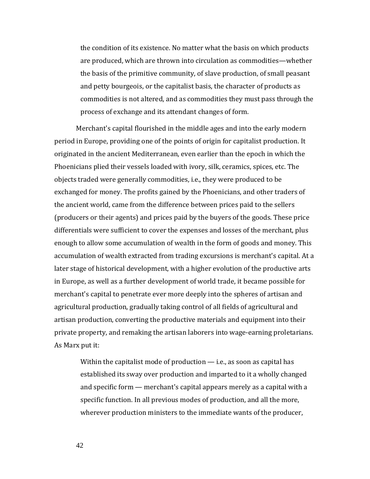the condition of its existence. No matter what the basis on which products are produced, which are thrown into circulation as commodities—whether the basis of the primitive community, of slave production, of small peasant and petty bourgeois, or the capitalist basis, the character of products as commodities is not altered, and as commodities they must pass through the process of exchange and its attendant changes of form.

Merchant's capital flourished in the middle ages and into the early modern period in Europe, providing one of the points of origin for capitalist production. It originated in the ancient Mediterranean, even earlier than the epoch in which the Phoenicians plied their vessels loaded with ivory, silk, ceramics, spices, etc. The objects traded were generally commodities, i.e., they were produced to be exchanged for money. The profits gained by the Phoenicians, and other traders of the ancient world, came from the difference between prices paid to the sellers (producers or their agents) and prices paid by the buyers of the goods. These price differentials were sufficient to cover the expenses and losses of the merchant, plus enough to allow some accumulation of wealth in the form of goods and money. This accumulation of wealth extracted from trading excursions is merchant's capital. At a later stage of historical development, with a higher evolution of the productive arts in Europe, as well as a further development of world trade, it became possible for merchant's capital to penetrate ever more deeply into the spheres of artisan and agricultural production, gradually taking control of all fields of agricultural and artisan production, converting the productive materials and equipment into their private property, and remaking the artisan laborers into wage-earning proletarians. As Marx put it:

Within the capitalist mode of production  $-$  i.e., as soon as capital has established its sway over production and imparted to it a wholly changed and specific form — merchant's capital appears merely as a capital with a specific function. In all previous modes of production, and all the more, wherever production ministers to the immediate wants of the producer,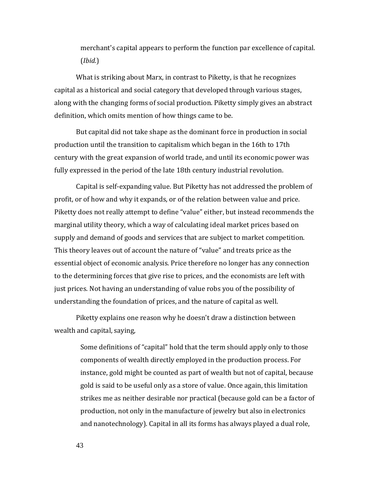merchant's capital appears to perform the function par excellence of capital. (*Ibid.*)

What is striking about Marx, in contrast to Piketty, is that he recognizes capital as a historical and social category that developed through various stages, along with the changing forms of social production. Piketty simply gives an abstract definition, which omits mention of how things came to be.

But capital did not take shape as the dominant force in production in social production until the transition to capitalism which began in the 16th to 17th century with the great expansion of world trade, and until its economic power was fully expressed in the period of the late 18th century industrial revolution.

Capital is self-expanding value. But Piketty has not addressed the problem of profit, or of how and why it expands, or of the relation between value and price. Piketty does not really attempt to define "value" either, but instead recommends the marginal utility theory, which a way of calculating ideal market prices based on supply and demand of goods and services that are subject to market competition. This theory leaves out of account the nature of "value" and treats price as the essential object of economic analysis. Price therefore no longer has any connection to the determining forces that give rise to prices, and the economists are left with just prices. Not having an understanding of value robs you of the possibility of understanding the foundation of prices, and the nature of capital as well.

Piketty explains one reason why he doesn't draw a distinction between wealth and capital, saying,

> Some definitions of "capital" hold that the term should apply only to those components of wealth directly employed in the production process. For instance, gold might be counted as part of wealth but not of capital, because gold is said to be useful only as a store of value. Once again, this limitation strikes me as neither desirable nor practical (because gold can be a factor of production, not only in the manufacture of jewelry but also in electronics and nanotechnology). Capital in all its forms has always played a dual role,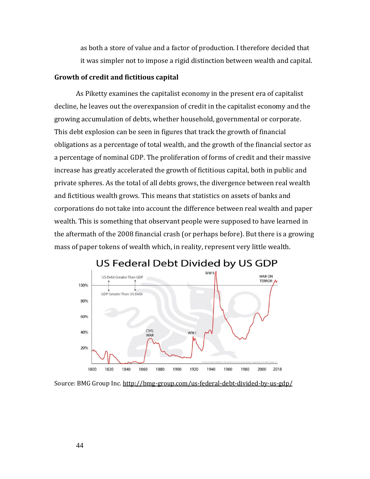as both a store of value and a factor of production. I therefore decided that it was simpler not to impose a rigid distinction between wealth and capital.

## **Growth of credit and fictitious capital**

As Piketty examines the capitalist economy in the present era of capitalist decline, he leaves out the overexpansion of credit in the capitalist economy and the growing accumulation of debts, whether household, governmental or corporate. This debt explosion can be seen in figures that track the growth of financial obligations as a percentage of total wealth, and the growth of the financial sector as a percentage of nominal GDP. The proliferation of forms of credit and their massive increase has greatly accelerated the growth of fictitious capital, both in public and private spheres. As the total of all debts grows, the divergence between real wealth and fictitious wealth grows. This means that statistics on assets of banks and corporations do not take into account the difference between real wealth and paper wealth. This is something that observant people were supposed to have learned in the aftermath of the 2008 financial crash (or perhaps before). But there is a growing mass of paper tokens of wealth which, in reality, represent very little wealth.



## US Federal Debt Divided by US GDP

Source: BMG Group Inc. <http://bmg-group.com/us-federal-debt-divided-by-us-gdp/>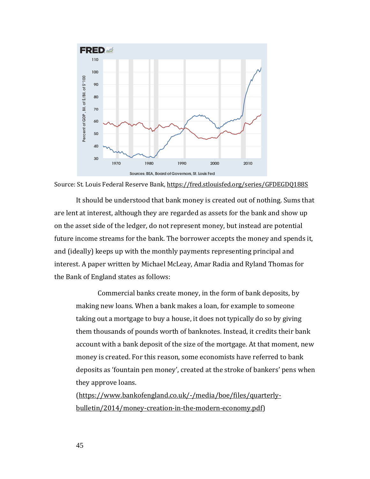

Source: St. Louis Federal Reserve Bank, <https://fred.stlouisfed.org/series/GFDEGDQ188S>

It should be understood that bank money is created out of nothing. Sums that are lent at interest, although they are regarded as assets for the bank and show up on the asset side of the ledger, do not represent money, but instead are potential future income streams for the bank. The borrower accepts the money and spends it, and (ideally) keeps up with the monthly payments representing principal and interest. A paper written by Michael McLeay, Amar Radia and Ryland Thomas for the Bank of England states as follows:

Commercial banks create money, in the form of bank deposits, by making new loans. When a bank makes a loan, for example to someone taking out a mortgage to buy a house, it does not typically do so by giving them thousands of pounds worth of banknotes. Instead, it credits their bank account with a bank deposit of the size of the mortgage. At that moment, new money is created. For this reason, some economists have referred to bank deposits as 'fountain pen money', created at the stroke of bankers' pens when they approve loans.

[\(https://www.bankofengland.co.uk/-/media/boe/files/quarterly](https://www.bankofengland.co.uk/-/media/boe/files/quarterly-bulletin/2014/money-creation-in-the-modern-economy.pdf)[bulletin/2014/money-creation-in-the-modern-economy.pdf\)](https://www.bankofengland.co.uk/-/media/boe/files/quarterly-bulletin/2014/money-creation-in-the-modern-economy.pdf)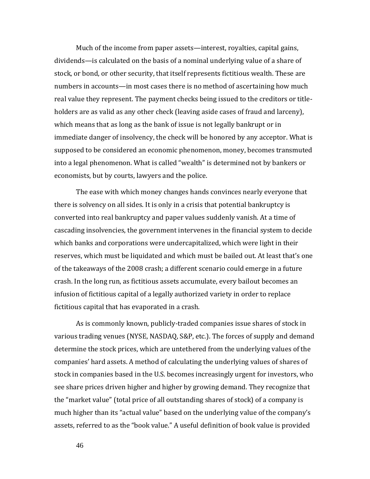Much of the income from paper assets—interest, royalties, capital gains, dividends—is calculated on the basis of a nominal underlying value of a share of stock, or bond, or other security, that itself represents fictitious wealth. These are numbers in accounts—in most cases there is no method of ascertaining how much real value they represent. The payment checks being issued to the creditors or titleholders are as valid as any other check (leaving aside cases of fraud and larceny), which means that as long as the bank of issue is not legally bankrupt or in immediate danger of insolvency, the check will be honored by any acceptor. What is supposed to be considered an economic phenomenon, money, becomes transmuted into a legal phenomenon. What is called "wealth" is determined not by bankers or economists, but by courts, lawyers and the police.

The ease with which money changes hands convinces nearly everyone that there is solvency on all sides. It is only in a crisis that potential bankruptcy is converted into real bankruptcy and paper values suddenly vanish. At a time of cascading insolvencies, the government intervenes in the financial system to decide which banks and corporations were undercapitalized, which were light in their reserves, which must be liquidated and which must be bailed out. At least that's one of the takeaways of the 2008 crash; a different scenario could emerge in a future crash. In the long run, as fictitious assets accumulate, every bailout becomes an infusion of fictitious capital of a legally authorized variety in order to replace fictitious capital that has evaporated in a crash.

As is commonly known, publicly-traded companies issue shares of stock in various trading venues (NYSE, NASDAQ, S&P, etc.). The forces of supply and demand determine the stock prices, which are untethered from the underlying values of the companies' hard assets. A method of calculating the underlying values of shares of stock in companies based in the U.S. becomes increasingly urgent for investors, who see share prices driven higher and higher by growing demand. They recognize that the "market value" (total price of all outstanding shares of stock) of a company is much higher than its "actual value" based on the underlying value of the company's assets, referred to as the "book value." A useful definition of book value is provided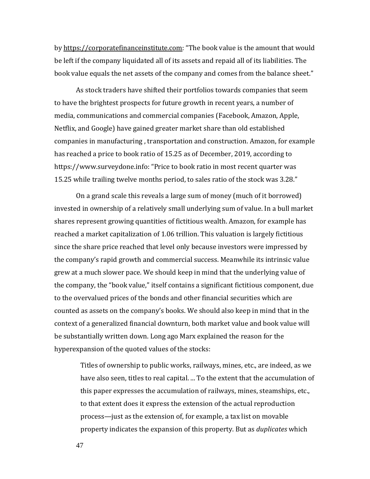by [https://corporatefinanceinstitute.com:](https://corporatefinanceinstitute.com/) "The book value is the amount that would be left if the company liquidated all of its assets and repaid all of its liabilities. The book value equals the net assets of the company and comes from the balance sheet."

As stock traders have shifted their portfolios towards companies that seem to have the brightest prospects for future growth in recent years, a number of media, communications and commercial companies (Facebook, Amazon, Apple, Netflix, and Google) have gained greater market share than old established companies in manufacturing , transportation and construction. Amazon, for example has reached a price to book ratio of 15.25 as of December, 2019, according to https://www.surveydone.info: "Price to book ratio in most recent quarter was 15.25 while trailing twelve months period, to sales ratio of the stock was 3.28."

On a grand scale this reveals a large sum of money (much of it borrowed) invested in ownership of a relatively small underlying sum of value. In a bull market shares represent growing quantities of fictitious wealth. Amazon, for example has reached a market capitalization of 1.06 trillion. This valuation is largely fictitious since the share price reached that level only because investors were impressed by the company's rapid growth and commercial success. Meanwhile its intrinsic value grew at a much slower pace. We should keep in mind that the underlying value of the company, the "book value," itself contains a significant fictitious component, due to the overvalued prices of the bonds and other financial securities which are counted as assets on the company's books. We should also keep in mind that in the context of a generalized financial downturn, both market value and book value will be substantially written down. Long ago Marx explained the reason for the hyperexpansion of the quoted values of the stocks:

Titles of ownership to public works, railways, mines, etc., are indeed, as we have also seen, titles to real capital. ... To the extent that the accumulation of this paper expresses the accumulation of railways, mines, steamships, etc., to that extent does it express the extension of the actual reproduction process—just as the extension of, for example, a tax list on movable property indicates the expansion of this property. But as *duplicates* which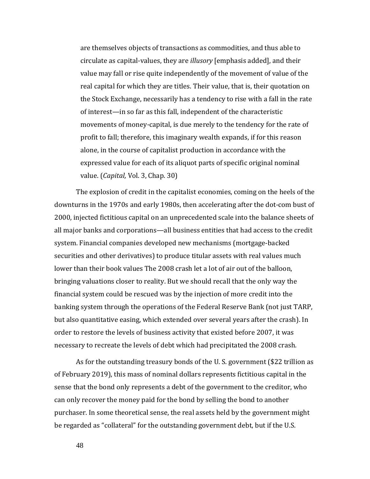are themselves objects of transactions as commodities, and thus able to circulate as capital-values, they are *illusory* [emphasis added], and their value may fall or rise quite independently of the movement of value of the real capital for which they are titles. Their value, that is, their quotation on the Stock Exchange, necessarily has a tendency to rise with a fall in the rate of interest—in so far as this fall, independent of the characteristic movements of money-capital, is due merely to the tendency for the rate of profit to fall; therefore, this imaginary wealth expands, if for this reason alone, in the course of capitalist production in accordance with the expressed value for each of its aliquot parts of specific original nominal value. (*Capital,* Vol. 3, Chap. 30)

The explosion of credit in the capitalist economies, coming on the heels of the downturns in the 1970s and early 1980s, then accelerating after the dot-com bust of 2000, injected fictitious capital on an unprecedented scale into the balance sheets of all major banks and corporations—all business entities that had access to the credit system. Financial companies developed new mechanisms (mortgage-backed securities and other derivatives) to produce titular assets with real values much lower than their book values The 2008 crash let a lot of air out of the balloon, bringing valuations closer to reality. But we should recall that the only way the financial system could be rescued was by the injection of more credit into the banking system through the operations of the Federal Reserve Bank (not just TARP, but also quantitative easing, which extended over several years after the crash). In order to restore the levels of business activity that existed before 2007, it was necessary to recreate the levels of debt which had precipitated the 2008 crash.

As for the outstanding treasury bonds of the U. S. government (\$22 trillion as of February 2019), this mass of nominal dollars represents fictitious capital in the sense that the bond only represents a debt of the government to the creditor, who can only recover the money paid for the bond by selling the bond to another purchaser. In some theoretical sense, the real assets held by the government might be regarded as "collateral" for the outstanding government debt, but if the U.S.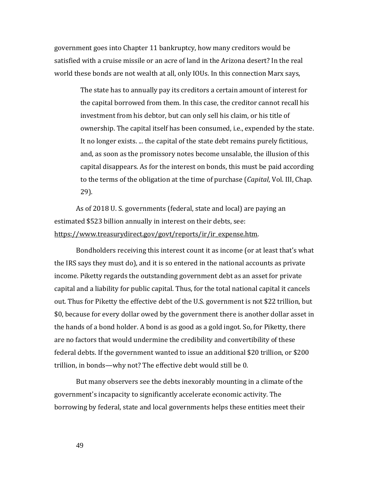government goes into Chapter 11 bankruptcy, how many creditors would be satisfied with a cruise missile or an acre of land in the Arizona desert? In the real world these bonds are not wealth at all, only IOUs. In this connection Marx says,

> The state has to annually pay its creditors a certain amount of interest for the capital borrowed from them. In this case, the creditor cannot recall his investment from his debtor, but can only sell his claim, or his title of ownership. The capital itself has been consumed, i.e., expended by the state. It no longer exists. ... the capital of the state debt remains purely fictitious, and, as soon as the promissory notes become unsalable, the illusion of this capital disappears. As for the interest on bonds, this must be paid according to the terms of the obligation at the time of purchase (*Capital*, Vol. III, Chap. 29).

As of 2018 U. S. governments (federal, state and local) are paying an estimated \$523 billion annually in interest on their debts, see: [https://www.treasurydirect.gov/govt/reports/ir/ir\\_expense.htm.](https://www.treasurydirect.gov/govt/reports/ir/ir_expense.htm)

Bondholders receiving this interest count it as income (or at least that's what the IRS says they must do), and it is so entered in the national accounts as private income. Piketty regards the outstanding government debt as an asset for private capital and a liability for public capital. Thus, for the total national capital it cancels out. Thus for Piketty the effective debt of the U.S. government is not \$22 trillion, but \$0, because for every dollar owed by the government there is another dollar asset in the hands of a bond holder. A bond is as good as a gold ingot. So, for Piketty, there are no factors that would undermine the credibility and convertibility of these federal debts. If the government wanted to issue an additional \$20 trillion, or \$200 trillion, in bonds—why not? The effective debt would still be 0.

But many observers see the debts inexorably mounting in a climate of the government's incapacity to significantly accelerate economic activity. The borrowing by federal, state and local governments helps these entities meet their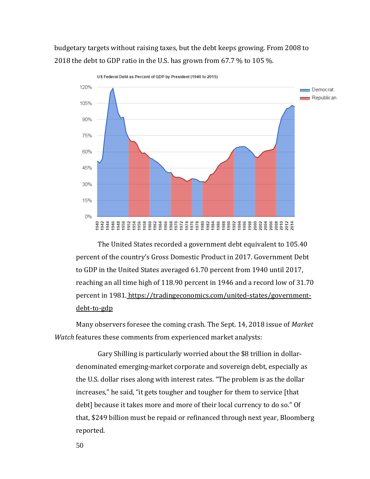budgetary targets without raising taxes, but the debt keeps growing. From 2008 to 2018 the debt to GDP ratio in the U.S. has grown from 67.7 % to 105 %.



US Federal Debt as Percent of GDP by President (1940 to 2015)

The United States recorded a government debt equivalent to 105.40 percent of the country's Gross Domestic Product in 2017. Government Debt to GDP in the United States averaged 61.70 percent from 1940 until 2017, reaching an all time high of 118.90 percent in 1946 and a record low of 31.70 percent in 1981. [https://tradingeconomics.com/united-states/government](https://tradingeconomics.com/united-states/government-debt-to-gdp)[debt-to-gdp](https://tradingeconomics.com/united-states/government-debt-to-gdp)

Many observers foresee the coming crash. The Sept. 14, 2018 issue of *Market Watch* features these comments from experienced market analysts:

Gary Shilling is particularly worried about the \$8 trillion in dollardenominated emerging-market corporate and sovereign debt, especially as the U.S. dollar rises along with interest rates. "The problem is as the dollar increases," he said, "it gets tougher and tougher for them to service [that debt] because it takes more and more of their local currency to do so." Of that, \$249 billion must be repaid or refinanced through next year, Bloomberg reported.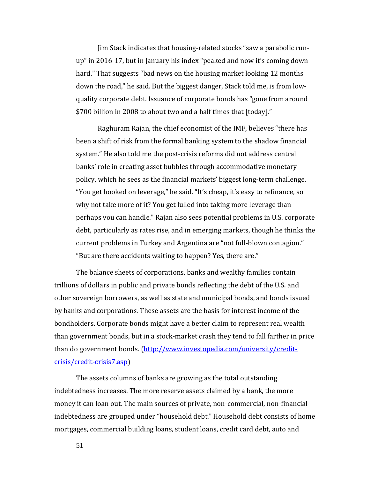Jim Stack indicates that housing-related stocks "saw a parabolic runup" in 2016-17, but in January his index "peaked and now it's coming down hard." That suggests "bad news on the housing market looking 12 months down the road," he said. But the biggest danger, Stack told me, is from lowquality corporate debt. Issuance of corporate bonds has "gone from around \$700 billion in 2008 to about two and a half times that [today]."

Raghuram Rajan, the chief economist of the IMF, believes "there has been a shift of risk from the formal banking system to the shadow financial system." He also told me the post-crisis reforms did not address central banks' role in creating asset bubbles through accommodative monetary policy, which he sees as the financial markets' biggest long-term challenge. "You get hooked on leverage," he said. "It's cheap, it's easy to refinance, so why not take more of it? You get lulled into taking more leverage than perhaps you can handle." Rajan also sees potential problems in U.S. corporate debt, particularly as rates rise, and in emerging markets, though he thinks the current problems in Turkey and Argentina are "not full-blown contagion." "But are there accidents waiting to happen? Yes, there are."

The balance sheets of corporations, banks and wealthy families contain trillions of dollars in public and private bonds reflecting the debt of the U.S. and other sovereign borrowers, as well as state and municipal bonds, and bonds issued by banks and corporations. These assets are the basis for interest income of the bondholders. Corporate bonds might have a better claim to represent real wealth than government bonds, but in a stock-market crash they tend to fall farther in price than do government bonds. [\(http://www.investopedia.com/university/credit](http://www.investopedia.com/university/credit-crisis/credit-crisis7.asp)[crisis/credit-crisis7.asp\)](http://www.investopedia.com/university/credit-crisis/credit-crisis7.asp)

The assets columns of banks are growing as the total outstanding indebtedness increases. The more reserve assets claimed by a bank, the more money it can loan out. The main sources of private, non-commercial, non-financial indebtedness are grouped under "household debt." Household debt consists of home mortgages, commercial building loans, student loans, credit card debt, auto and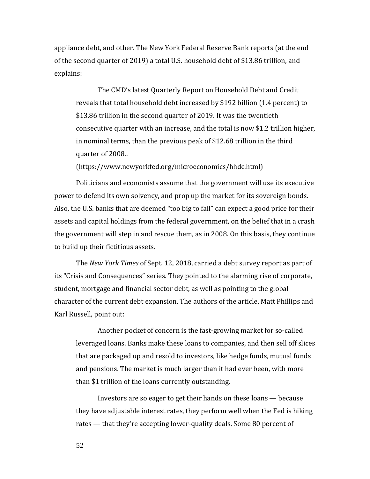appliance debt, and other. The New York Federal Reserve Bank reports (at the end of the second quarter of 2019) a total U.S. household debt of \$13.86 trillion, and explains:

The CMD's latest Quarterly Report on Household Debt and Credit reveals that total household debt increased by \$192 billion (1.4 percent) to \$13.86 trillion in the second quarter of 2019. It was the twentieth consecutive quarter with an increase, and the total is now \$1.2 trillion higher, in nominal terms, than the previous peak of \$12.68 trillion in the third quarter of 2008..

(https://www.newyorkfed.org/microeconomics/hhdc.html)

Politicians and economists assume that the government will use its executive power to defend its own solvency, and prop up the market for its sovereign bonds. Also, the U.S. banks that are deemed "too big to fail" can expect a good price for their assets and capital holdings from the federal government, on the belief that in a crash the government will step in and rescue them, as in 2008. On this basis, they continue to build up their fictitious assets.

The *New York Times* of Sept. 12, 2018, carried a debt survey report as part of its "Crisis and Consequences" series. They pointed to the alarming rise of corporate, student, mortgage and financial sector debt, as well as pointing to the global character of the current debt expansion. The authors of the article, Matt Phillips and Karl Russell, point out:

Another pocket of concern is the fast-growing market for so-called leveraged loans. Banks make these loans to companies, and then sell off slices that are packaged up and resold to investors, like hedge funds, mutual funds and pensions. The market is much larger than it had ever been, with more than \$1 trillion of the loans currently outstanding.

Investors are so eager to get their hands on these loans — because they have adjustable interest rates, they perform well when the Fed is hiking rates — that they're accepting lower-quality deals. Some 80 percent of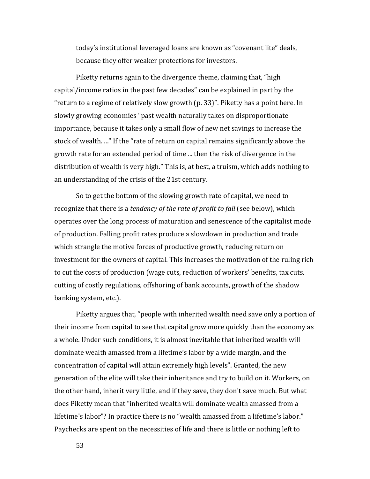today's institutional leveraged loans are known as "covenant lite" deals, because they offer weaker protections for investors.

Piketty returns again to the divergence theme, claiming that, "high capital/income ratios in the past few decades" can be explained in part by the "return to a regime of relatively slow growth (p. 33)". Piketty has a point here. In slowly growing economies "past wealth naturally takes on disproportionate importance, because it takes only a small flow of new net savings to increase the stock of wealth. ..." If the "rate of return on capital remains significantly above the growth rate for an extended period of time ... then the risk of divergence in the distribution of wealth is very high." This is, at best, a truism, which adds nothing to an understanding of the crisis of the 21st century.

So to get the bottom of the slowing growth rate of capital, we need to recognize that there is a *tendency of the rate of profit to fall* (see below), which operates over the long process of maturation and senescence of the capitalist mode of production. Falling profit rates produce a slowdown in production and trade which strangle the motive forces of productive growth, reducing return on investment for the owners of capital. This increases the motivation of the ruling rich to cut the costs of production (wage cuts, reduction of workers' benefits, tax cuts, cutting of costly regulations, offshoring of bank accounts, growth of the shadow banking system, etc.).

Piketty argues that, "people with inherited wealth need save only a portion of their income from capital to see that capital grow more quickly than the economy as a whole. Under such conditions, it is almost inevitable that inherited wealth will dominate wealth amassed from a lifetime's labor by a wide margin, and the concentration of capital will attain extremely high levels". Granted, the new generation of the elite will take their inheritance and try to build on it. Workers, on the other hand, inherit very little, and if they save, they don't save much. But what does Piketty mean that "inherited wealth will dominate wealth amassed from a lifetime's labor"? In practice there is no "wealth amassed from a lifetime's labor." Paychecks are spent on the necessities of life and there is little or nothing left to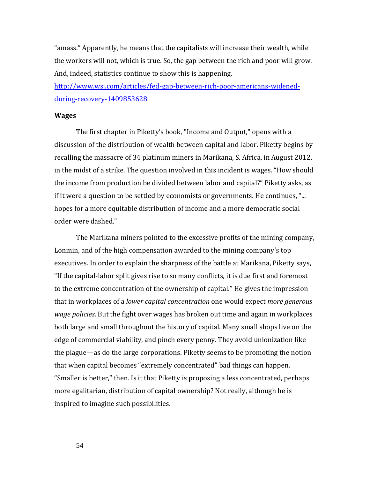"amass." Apparently, he means that the capitalists will increase their wealth, while the workers will not, which is true. So, the gap between the rich and poor will grow. And, indeed, statistics continue to show this is happening.

[http://www.wsj.com/articles/fed-gap-between-rich-poor-americans-widened](http://www.wsj.com/articles/fed-gap-between-rich-poor-americans-widened-during-recovery-1409853628)[during-recovery-1409853628](http://www.wsj.com/articles/fed-gap-between-rich-poor-americans-widened-during-recovery-1409853628)

## **Wages**

The first chapter in Piketty's book, "Income and Output," opens with a discussion of the distribution of wealth between capital and labor. Piketty begins by recalling the massacre of 34 platinum miners in Marikana, S. Africa, in August 2012, in the midst of a strike. The question involved in this incident is wages. "How should the income from production be divided between labor and capital?" Piketty asks, as if it were a question to be settled by economists or governments. He continues, "... hopes for a more equitable distribution of income and a more democratic social order were dashed."

The Marikana miners pointed to the excessive profits of the mining company, Lonmin, and of the high compensation awarded to the mining company's top executives. In order to explain the sharpness of the battle at Marikana, Piketty says, "If the capital-labor split gives rise to so many conflicts, it is due first and foremost to the extreme concentration of the ownership of capital." He gives the impression that in workplaces of a *lower capital concentration* one would expect *more generous wage policies*. But the fight over wages has broken out time and again in workplaces both large and small throughout the history of capital. Many small shops live on the edge of commercial viability, and pinch every penny. They avoid unionization like the plague—as do the large corporations. Piketty seems to be promoting the notion that when capital becomes "extremely concentrated" bad things can happen. "Smaller is better," then. Is it that Piketty is proposing a less concentrated, perhaps more egalitarian, distribution of capital ownership? Not really, although he is inspired to imagine such possibilities.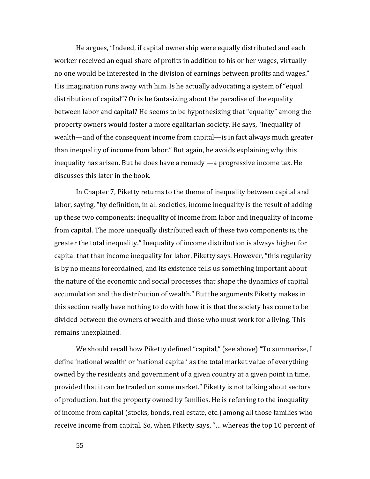He argues, "Indeed, if capital ownership were equally distributed and each worker received an equal share of profits in addition to his or her wages, virtually no one would be interested in the division of earnings between profits and wages." His imagination runs away with him. Is he actually advocating a system of "equal distribution of capital"? Or is he fantasizing about the paradise of the equality between labor and capital? He seems to be hypothesizing that "equality" among the property owners would foster a more egalitarian society. He says, "Inequality of wealth—and of the consequent income from capital—is in fact always much greater than inequality of income from labor." But again, he avoids explaining why this inequality has arisen. But he does have a remedy —a progressive income tax. He discusses this later in the book.

In Chapter 7, Piketty returns to the theme of inequality between capital and labor, saying, "by definition, in all societies, income inequality is the result of adding up these two components: inequality of income from labor and inequality of income from capital. The more unequally distributed each of these two components is, the greater the total inequality." Inequality of income distribution is always higher for capital that than income inequality for labor, Piketty says. However, "this regularity is by no means foreordained, and its existence tells us something important about the nature of the economic and social processes that shape the dynamics of capital accumulation and the distribution of wealth." But the arguments Piketty makes in this section really have nothing to do with how it is that the society has come to be divided between the owners of wealth and those who must work for a living. This remains unexplained.

We should recall how Piketty defined "capital," (see above) "To summarize, I define 'national wealth' or 'national capital' as the total market value of everything owned by the residents and government of a given country at a given point in time, provided that it can be traded on some market." Piketty is not talking about sectors of production, but the property owned by families. He is referring to the inequality of income from capital (stocks, bonds, real estate, etc.) among all those families who receive income from capital. So, when Piketty says, "… whereas the top 10 percent of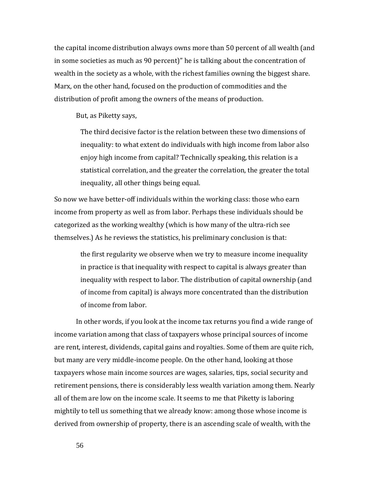the capital income distribution always owns more than 50 percent of all wealth (and in some societies as much as 90 percent)" he is talking about the concentration of wealth in the society as a whole, with the richest families owning the biggest share. Marx, on the other hand, focused on the production of commodities and the distribution of profit among the owners of the means of production.

But, as Piketty says,

The third decisive factor is the relation between these two dimensions of inequality: to what extent do individuals with high income from labor also enjoy high income from capital? Technically speaking, this relation is a statistical correlation, and the greater the correlation, the greater the total inequality, all other things being equal.

So now we have better-off individuals within the working class: those who earn income from property as well as from labor. Perhaps these individuals should be categorized as the working wealthy (which is how many of the ultra-rich see themselves.) As he reviews the statistics, his preliminary conclusion is that:

> the first regularity we observe when we try to measure income inequality in practice is that inequality with respect to capital is always greater than inequality with respect to labor. The distribution of capital ownership (and of income from capital) is always more concentrated than the distribution of income from labor.

In other words, if you look at the income tax returns you find a wide range of income variation among that class of taxpayers whose principal sources of income are rent, interest, dividends, capital gains and royalties. Some of them are quite rich, but many are very middle-income people. On the other hand, looking at those taxpayers whose main income sources are wages, salaries, tips, social security and retirement pensions, there is considerably less wealth variation among them. Nearly all of them are low on the income scale. It seems to me that Piketty is laboring mightily to tell us something that we already know: among those whose income is derived from ownership of property, there is an ascending scale of wealth, with the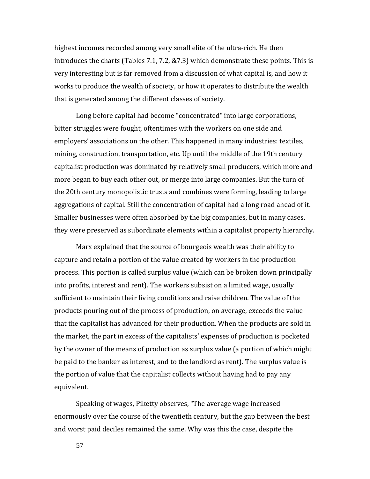highest incomes recorded among very small elite of the ultra-rich. He then introduces the charts (Tables 7.1, 7.2, &7.3) which demonstrate these points. This is very interesting but is far removed from a discussion of what capital is, and how it works to produce the wealth of society, or how it operates to distribute the wealth that is generated among the different classes of society.

Long before capital had become "concentrated" into large corporations, bitter struggles were fought, oftentimes with the workers on one side and employers' associations on the other. This happened in many industries: textiles, mining, construction, transportation, etc. Up until the middle of the 19th century capitalist production was dominated by relatively small producers, which more and more began to buy each other out, or merge into large companies. But the turn of the 20th century monopolistic trusts and combines were forming, leading to large aggregations of capital. Still the concentration of capital had a long road ahead of it. Smaller businesses were often absorbed by the big companies, but in many cases, they were preserved as subordinate elements within a capitalist property hierarchy.

Marx explained that the source of bourgeois wealth was their ability to capture and retain a portion of the value created by workers in the production process. This portion is called surplus value (which can be broken down principally into profits, interest and rent). The workers subsist on a limited wage, usually sufficient to maintain their living conditions and raise children. The value of the products pouring out of the process of production, on average, exceeds the value that the capitalist has advanced for their production. When the products are sold in the market, the part in excess of the capitalists' expenses of production is pocketed by the owner of the means of production as surplus value (a portion of which might be paid to the banker as interest, and to the landlord as rent). The surplus value is the portion of value that the capitalist collects without having had to pay any equivalent.

Speaking of wages, Piketty observes, "The average wage increased enormously over the course of the twentieth century, but the gap between the best and worst paid deciles remained the same. Why was this the case, despite the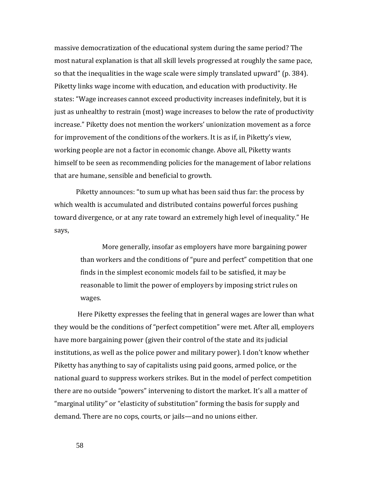massive democratization of the educational system during the same period? The most natural explanation is that all skill levels progressed at roughly the same pace, so that the inequalities in the wage scale were simply translated upward" (p. 384). Piketty links wage income with education, and education with productivity. He states: "Wage increases cannot exceed productivity increases indefinitely, but it is just as unhealthy to restrain (most) wage increases to below the rate of productivity increase." Piketty does not mention the workers' unionization movement as a force for improvement of the conditions of the workers. It is as if, in Piketty's view, working people are not a factor in economic change. Above all, Piketty wants himself to be seen as recommending policies for the management of labor relations that are humane, sensible and beneficial to growth.

Piketty announces: "to sum up what has been said thus far: the process by which wealth is accumulated and distributed contains powerful forces pushing toward divergence, or at any rate toward an extremely high level of inequality." He says,

> More generally, insofar as employers have more bargaining power than workers and the conditions of "pure and perfect" competition that one finds in the simplest economic models fail to be satisfied, it may be reasonable to limit the power of employers by imposing strict rules on wages.

Here Piketty expresses the feeling that in general wages are lower than what they would be the conditions of "perfect competition" were met. After all, employers have more bargaining power (given their control of the state and its judicial institutions, as well as the police power and military power). I don't know whether Piketty has anything to say of capitalists using paid goons, armed police, or the national guard to suppress workers strikes. But in the model of perfect competition there are no outside "powers" intervening to distort the market. It's all a matter of "marginal utility" or "elasticity of substitution" forming the basis for supply and demand. There are no cops, courts, or jails—and no unions either.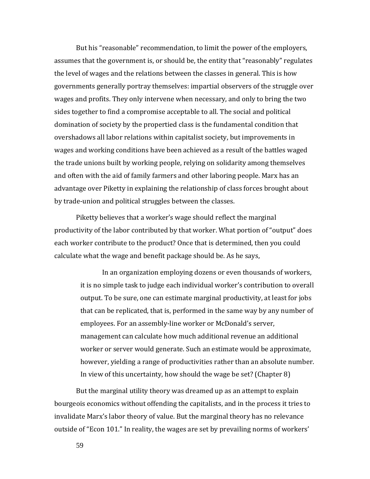But his "reasonable" recommendation, to limit the power of the employers, assumes that the government is, or should be, the entity that "reasonably" regulates the level of wages and the relations between the classes in general. This is how governments generally portray themselves: impartial observers of the struggle over wages and profits. They only intervene when necessary, and only to bring the two sides together to find a compromise acceptable to all. The social and political domination of society by the propertied class is the fundamental condition that overshadows all labor relations within capitalist society, but improvements in wages and working conditions have been achieved as a result of the battles waged the trade unions built by working people, relying on solidarity among themselves and often with the aid of family farmers and other laboring people. Marx has an advantage over Piketty in explaining the relationship of class forces brought about by trade-union and political struggles between the classes.

Piketty believes that a worker's wage should reflect the marginal productivity of the labor contributed by that worker. What portion of "output" does each worker contribute to the product? Once that is determined, then you could calculate what the wage and benefit package should be. As he says,

In an organization employing dozens or even thousands of workers, it is no simple task to judge each individual worker's contribution to overall output. To be sure, one can estimate marginal productivity, at least for jobs that can be replicated, that is, performed in the same way by any number of employees. For an assembly-line worker or McDonald's server, management can calculate how much additional revenue an additional worker or server would generate. Such an estimate would be approximate, however, yielding a range of productivities rather than an absolute number. In view of this uncertainty, how should the wage be set? (Chapter 8)

But the marginal utility theory was dreamed up as an attempt to explain bourgeois economics without offending the capitalists, and in the process it tries to invalidate Marx's labor theory of value. But the marginal theory has no relevance outside of "Econ 101." In reality, the wages are set by prevailing norms of workers'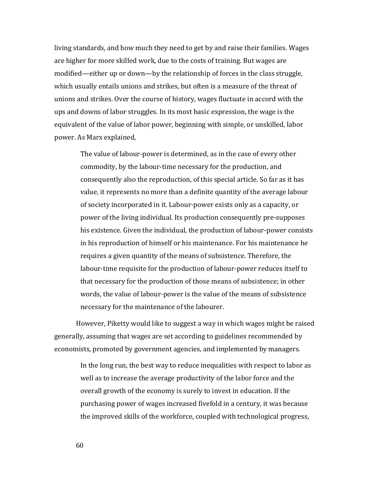living standards, and how much they need to get by and raise their families. Wages are higher for more skilled work, due to the costs of training. But wages are modified—either up or down—by the relationship of forces in the class struggle, which usually entails unions and strikes, but often is a measure of the threat of unions and strikes. Over the course of history, wages fluctuate in accord with the ups and downs of labor struggles. In its most basic expression, the wage is the equivalent of the value of labor power, beginning with simple, or unskilled, labor power. As Marx explained,

> The value of labour-power is determined, as in the case of every other commodity, by the labour-time necessary for the production, and consequently also the reproduction, of this special article. So far as it has value, it represents no more than a definite quantity of the average labour of society incorporated in it. Labour-power exists only as a capacity, or power of the living individual. Its production consequently pre-supposes his existence. Given the individual, the production of labour-power consists in his reproduction of himself or his maintenance. For his maintenance he requires a given quantity of the means of subsistence. Therefore, the labour-time requisite for the production of labour-power reduces itself to that necessary for the production of those means of subsistence; in other words, the value of labour-power is the value of the means of subsistence necessary for the maintenance of the labourer.

However, Piketty would like to suggest a way in which wages might be raised generally, assuming that wages are set according to guidelines recommended by economists, promoted by government agencies, and implemented by managers.

In the long run, the best way to reduce inequalities with respect to labor as well as to increase the average productivity of the labor force and the overall growth of the economy is surely to invest in education. If the purchasing power of wages increased fivefold in a century, it was because the improved skills of the workforce, coupled with technological progress,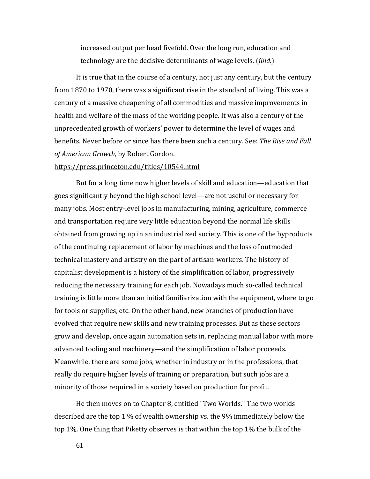increased output per head fivefold. Over the long run, education and technology are the decisive determinants of wage levels. (*ibid.*)

It is true that in the course of a century, not just any century, but the century from 1870 to 1970, there was a significant rise in the standard of living. This was a century of a massive cheapening of all commodities and massive improvements in health and welfare of the mass of the working people. It was also a century of the unprecedented growth of workers' power to determine the level of wages and benefits. Never before or since has there been such a century. See: *The Rise and Fall of American Growth,* by Robert Gordon.

#### <https://press.princeton.edu/titles/10544.html>

But for a long time now higher levels of skill and education—education that goes significantly beyond the high school level—are not useful or necessary for many jobs. Most entry-level jobs in manufacturing, mining, agriculture, commerce and transportation require very little education beyond the normal life skills obtained from growing up in an industrialized society. This is one of the byproducts of the continuing replacement of labor by machines and the loss of outmoded technical mastery and artistry on the part of artisan-workers. The history of capitalist development is a history of the simplification of labor, progressively reducing the necessary training for each job. Nowadays much so-called technical training is little more than an initial familiarization with the equipment, where to go for tools or supplies, etc. On the other hand, new branches of production have evolved that require new skills and new training processes. But as these sectors grow and develop, once again automation sets in, replacing manual labor with more advanced tooling and machinery—and the simplification of labor proceeds. Meanwhile, there are some jobs, whether in industry or in the professions, that really do require higher levels of training or preparation, but such jobs are a minority of those required in a society based on production for profit.

He then moves on to Chapter 8, entitled "Two Worlds." The two worlds described are the top 1 % of wealth ownership vs. the 9% immediately below the top 1%. One thing that Piketty observes is that within the top 1% the bulk of the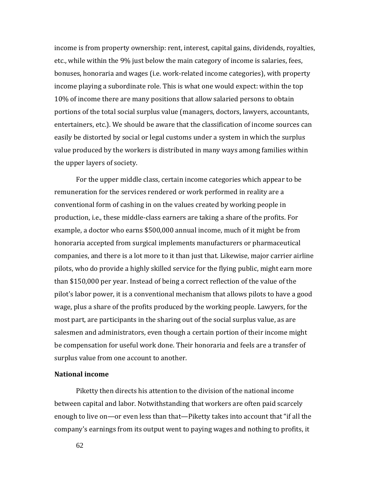income is from property ownership: rent, interest, capital gains, dividends, royalties, etc., while within the 9% just below the main category of income is salaries, fees, bonuses, honoraria and wages (i.e. work-related income categories), with property income playing a subordinate role. This is what one would expect: within the top 10% of income there are many positions that allow salaried persons to obtain portions of the total social surplus value (managers, doctors, lawyers, accountants, entertainers, etc.). We should be aware that the classification of income sources can easily be distorted by social or legal customs under a system in which the surplus value produced by the workers is distributed in many ways among families within the upper layers of society.

For the upper middle class, certain income categories which appear to be remuneration for the services rendered or work performed in reality are a conventional form of cashing in on the values created by working people in production, i.e., these middle-class earners are taking a share of the profits. For example, a doctor who earns \$500,000 annual income, much of it might be from honoraria accepted from surgical implements manufacturers or pharmaceutical companies, and there is a lot more to it than just that. Likewise, major carrier airline pilots, who do provide a highly skilled service for the flying public, might earn more than \$150,000 per year. Instead of being a correct reflection of the value of the pilot's labor power, it is a conventional mechanism that allows pilots to have a good wage, plus a share of the profits produced by the working people. Lawyers, for the most part, are participants in the sharing out of the social surplus value, as are salesmen and administrators, even though a certain portion of their income might be compensation for useful work done. Their honoraria and feels are a transfer of surplus value from one account to another.

## **National income**

Piketty then directs his attention to the division of the national income between capital and labor. Notwithstanding that workers are often paid scarcely enough to live on—or even less than that—Piketty takes into account that "if all the company's earnings from its output went to paying wages and nothing to profits, it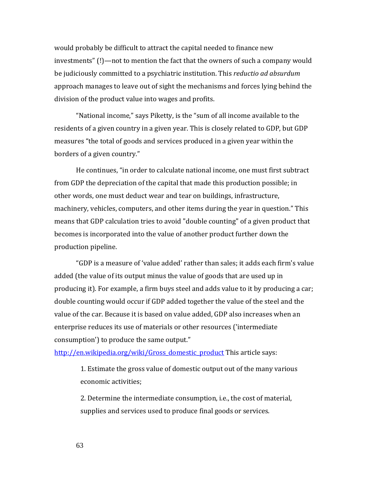would probably be difficult to attract the capital needed to finance new investments" (!)—not to mention the fact that the owners of such a company would be judiciously committed to a psychiatric institution. This *reductio ad absurdum* approach manages to leave out of sight the mechanisms and forces lying behind the division of the product value into wages and profits.

"National income," says Piketty, is the "sum of all income available to the residents of a given country in a given year. This is closely related to GDP, but GDP measures "the total of goods and services produced in a given year within the borders of a given country."

He continues, "in order to calculate national income, one must first subtract from GDP the depreciation of the capital that made this production possible; in other words, one must deduct wear and tear on buildings, infrastructure, machinery, vehicles, computers, and other items during the year in question." This means that GDP calculation tries to avoid "double counting" of a given product that becomes is incorporated into the value of another product further down the production pipeline.

"GDP is a measure of 'value added' rather than sales; it adds each firm's value added (the value of its output minus the value of goods that are used up in producing it). For example, a firm buys steel and adds value to it by producing a car; double counting would occur if GDP added together the value of the steel and the value of the car. Because it is based on value added, GDP also increases when an enterprise reduces its use of materials or other resources ('intermediate consumption') to produce the same output."

[http://en.wikipedia.org/wiki/Gross\\_domestic\\_product](http://en.wikipedia.org/wiki/Gross_domestic_product) This article says:

1. Estimate the gross value of domestic output out of the many various economic activities;

2. Determine the intermediate consumption, i.e., the cost of material, supplies and services used to produce final goods or services.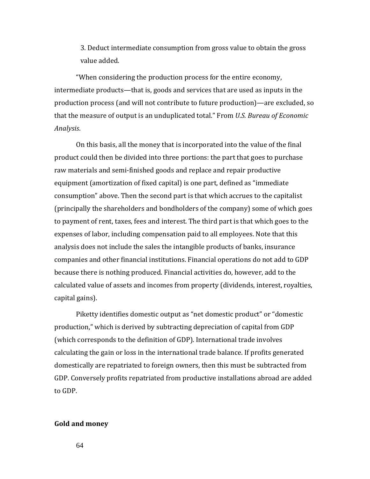3. Deduct intermediate consumption from gross value to obtain the gross value added.

"When considering the production process for the entire economy, intermediate products—that is, goods and services that are used as inputs in the production process (and will not contribute to future production)—are excluded, so that the measure of output is an unduplicated total." From *U.S. Bureau of Economic Analysis*.

On this basis, all the money that is incorporated into the value of the final product could then be divided into three portions: the part that goes to purchase raw materials and semi-finished goods and replace and repair productive equipment (amortization of fixed capital) is one part, defined as "immediate consumption" above. Then the second part is that which accrues to the capitalist (principally the shareholders and bondholders of the company) some of which goes to payment of rent, taxes, fees and interest. The third part is that which goes to the expenses of labor, including compensation paid to all employees. Note that this analysis does not include the sales the intangible products of banks, insurance companies and other financial institutions. Financial operations do not add to GDP because there is nothing produced. Financial activities do, however, add to the calculated value of assets and incomes from property (dividends, interest, royalties, capital gains).

Piketty identifies domestic output as "net domestic product" or "domestic production," which is derived by subtracting depreciation of capital from GDP (which corresponds to the definition of GDP). International trade involves calculating the gain or loss in the international trade balance. If profits generated domestically are repatriated to foreign owners, then this must be subtracted from GDP. Conversely profits repatriated from productive installations abroad are added to GDP.

## **Gold and money**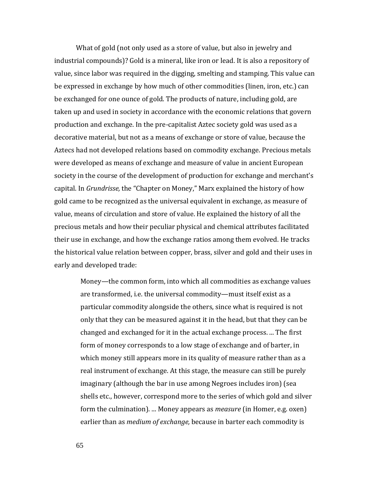What of gold (not only used as a store of value, but also in jewelry and industrial compounds)? Gold is a mineral, like iron or lead. It is also a repository of value, since labor was required in the digging, smelting and stamping. This value can be expressed in exchange by how much of other commodities (linen, iron, etc.) can be exchanged for one ounce of gold. The products of nature, including gold, are taken up and used in society in accordance with the economic relations that govern production and exchange. In the pre-capitalist Aztec society gold was used as a decorative material, but not as a means of exchange or store of value, because the Aztecs had not developed relations based on commodity exchange. Precious metals were developed as means of exchange and measure of value in ancient European society in the course of the development of production for exchange and merchant's capital. In *Grundrisse,* the "Chapter on Money," Marx explained the history of how gold came to be recognized as the universal equivalent in exchange, as measure of value, means of circulation and store of value. He explained the history of all the precious metals and how their peculiar physical and chemical attributes facilitated their use in exchange, and how the exchange ratios among them evolved. He tracks the historical value relation between copper, brass, silver and gold and their uses in early and developed trade:

Money—the common form, into which all commodities as exchange values are transformed, i.e. the universal commodity—must itself exist as a particular commodity alongside the others, since what is required is not only that they can be measured against it in the head, but that they can be changed and exchanged for it in the actual exchange process. ... The first form of money corresponds to a low stage of exchange and of barter, in which money still appears more in its quality of measure rather than as a real instrument of exchange. At this stage, the measure can still be purely imaginary (although the bar in use among Negroes includes iron) (sea shells etc., however, correspond more to the series of which gold and silver form the culmination). ... Money appears as *measure* (in Homer, e.g. oxen) earlier than as *medium of exchange,* because in barter each commodity is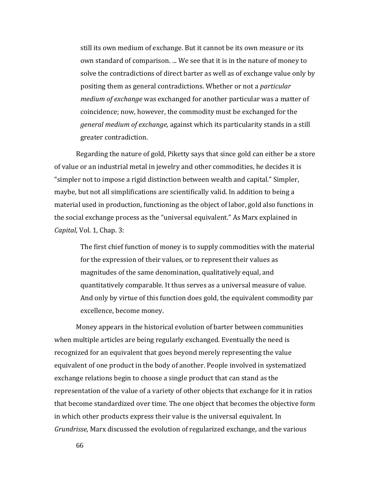still its own medium of exchange. But it cannot be its own measure or its own standard of comparison. ... We see that it is in the nature of money to solve the contradictions of direct barter as well as of exchange value only by positing them as general contradictions. Whether or not a *particular medium of exchange* was exchanged for another particular was a matter of coincidence; now, however, the commodity must be exchanged for the *general medium of exchange,* against which its particularity stands in a still greater contradiction.

Regarding the nature of gold, Piketty says that since gold can either be a store of value or an industrial metal in jewelry and other commodities, he decides it is "simpler not to impose a rigid distinction between wealth and capital." Simpler, maybe, but not all simplifications are scientifically valid. In addition to being a material used in production, functioning as the object of labor, gold also functions in the social exchange process as the "universal equivalent." As Marx explained in *Capital,* Vol. 1, Chap. 3:

The first chief function of money is to supply commodities with the material for the expression of their values, or to represent their values as magnitudes of the same denomination, qualitatively equal, and quantitatively comparable. It thus serves as a universal measure of value. And only by virtue of this function does gold, the equivalent commodity par excellence, become money.

Money appears in the historical evolution of barter between communities when multiple articles are being regularly exchanged. Eventually the need is recognized for an equivalent that goes beyond merely representing the value equivalent of one product in the body of another. People involved in systematized exchange relations begin to choose a single product that can stand as the representation of the value of a variety of other objects that exchange for it in ratios that become standardized over time. The one object that becomes the objective form in which other products express their value is the universal equivalent. In *Grundrisse,* Marx discussed the evolution of regularized exchange, and the various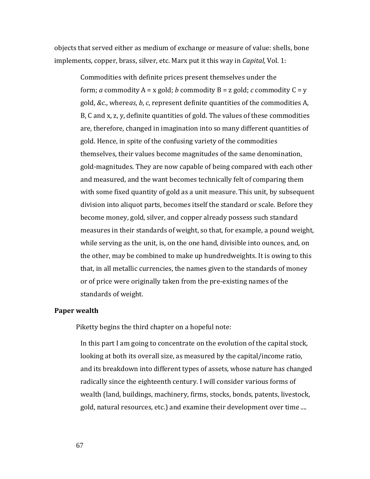objects that served either as medium of exchange or measure of value: shells, bone implements, copper, brass, silver, etc. Marx put it this way in *Capital,* Vol. 1:

> Commodities with definite prices present themselves under the form; *a* commodity  $A = x$  gold; *b* commodity  $B = z$  gold; *c* commodity  $C = y$ gold, *&c*., where*as*, *b*, *c*, represent definite quantities of the commodities A, B, C and x, z, y, definite quantities of gold. The values of these commodities are, therefore, changed in imagination into so many different quantities of gold. Hence, in spite of the confusing variety of the commodities themselves, their values become magnitudes of the same denomination, gold-magnitudes. They are now capable of being compared with each other and measured, and the want becomes technically felt of comparing them with some fixed quantity of gold as a unit measure. This unit, by subsequent division into aliquot parts, becomes itself the standard or scale. Before they become money, gold, silver, and copper already possess such standard measures in their standards of weight, so that, for example, a pound weight, while serving as the unit, is, on the one hand, divisible into ounces, and, on the other, may be combined to make up hundredweights. It is owing to this that, in all metallic currencies, the names given to the standards of money or of price were originally taken from the pre-existing names of the standards of weight.

## **Paper wealth**

Piketty begins the third chapter on a hopeful note:

In this part I am going to concentrate on the evolution of the capital stock, looking at both its overall size, as measured by the capital/income ratio, and its breakdown into different types of assets, whose nature has changed radically since the eighteenth century. I will consider various forms of wealth (land, buildings, machinery, firms, stocks, bonds, patents, livestock, gold, natural resources, etc.) and examine their development over time ....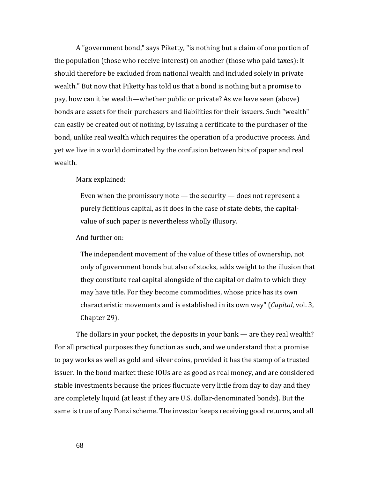A "government bond," says Piketty, "is nothing but a claim of one portion of the population (those who receive interest) on another (those who paid taxes): it should therefore be excluded from national wealth and included solely in private wealth." But now that Piketty has told us that a bond is nothing but a promise to pay, how can it be wealth—whether public or private? As we have seen (above) bonds are assets for their purchasers and liabilities for their issuers. Such "wealth" can easily be created out of nothing, by issuing a certificate to the purchaser of the bond, unlike real wealth which requires the operation of a productive process. And yet we live in a world dominated by the confusion between bits of paper and real wealth.

Marx explained:

Even when the promissory note — the security — does not represent a purely fictitious capital, as it does in the case of state debts, the capitalvalue of such paper is nevertheless wholly illusory.

And further on:

The independent movement of the value of these titles of ownership, not only of government bonds but also of stocks, adds weight to the illusion that they constitute real capital alongside of the capital or claim to which they may have title. For they become commodities, whose price has its own characteristic movements and is established in its own way" (*Capital*, vol. 3, Chapter 29).

The dollars in your pocket, the deposits in your bank — are they real wealth? For all practical purposes they function as such, and we understand that a promise to pay works as well as gold and silver coins, provided it has the stamp of a trusted issuer. In the bond market these IOUs are as good as real money, and are considered stable investments because the prices fluctuate very little from day to day and they are completely liquid (at least if they are U.S. dollar-denominated bonds). But the same is true of any Ponzi scheme. The investor keeps receiving good returns, and all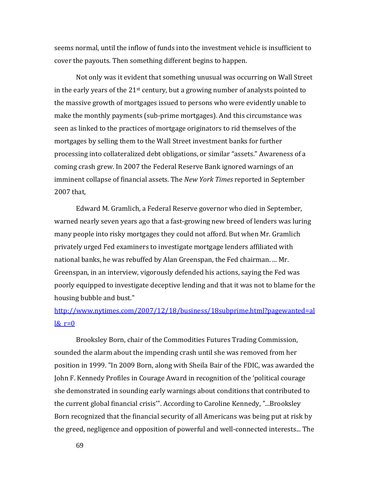seems normal, until the inflow of funds into the investment vehicle is insufficient to cover the payouts. Then something different begins to happen.

Not only was it evident that something unusual was occurring on Wall Street in the early years of the  $21<sup>st</sup>$  century, but a growing number of analysts pointed to the massive growth of mortgages issued to persons who were evidently unable to make the monthly payments (sub-prime mortgages). And this circumstance was seen as linked to the practices of mortgage originators to rid themselves of the mortgages by selling them to the Wall Street investment banks for further processing into collateralized debt obligations, or similar "assets." Awareness of a coming crash grew. In 2007 the Federal Reserve Bank ignored warnings of an imminent collapse of financial assets. The *New York Times* reported in September 2007 that,

Edward M. Gramlich, a Federal Reserve governor who died in September, warned nearly seven years ago that a fast-growing new breed of lenders was luring many people into risky mortgages they could not afford. But when Mr. Gramlich privately urged Fed examiners to investigate mortgage lenders affiliated with national banks, he was rebuffed by Alan Greenspan, the Fed chairman. ... Mr. Greenspan, in an interview, vigorously defended his actions, saying the Fed was poorly equipped to investigate deceptive lending and that it was not to blame for the housing bubble and bust."

# [http://www.nytimes.com/2007/12/18/business/18subprime.html?pagewanted=al](http://www.nytimes.com/2007/12/18/business/18subprime.html?pagewanted=all&_r=0)  $l\&$  r=0

Brooksley Born, chair of the Commodities Futures Trading Commission, sounded the alarm about the impending crash until she was removed from her position in 1999. "In 2009 Born, along with Sheila Bair of the FDIC, was awarded the John F. Kennedy Profiles in Courage Award in recognition of the 'political courage she demonstrated in sounding early warnings about conditions that contributed to the current global financial crisis'". According to Caroline Kennedy, "...Brooksley Born recognized that the financial security of all Americans was being put at risk by the greed, negligence and opposition of powerful and well-connected interests... The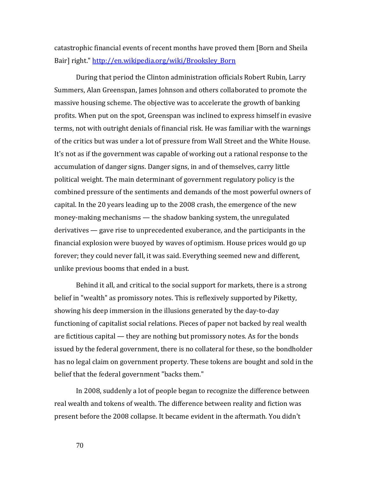catastrophic financial events of recent months have proved them [Born and Sheila Bair] right." [http://en.wikipedia.org/wiki/Brooksley\\_Born](http://en.wikipedia.org/wiki/Brooksley_Born)

During that period the Clinton administration officials Robert Rubin, Larry Summers, Alan Greenspan, James Johnson and others collaborated to promote the massive housing scheme. The objective was to accelerate the growth of banking profits. When put on the spot, Greenspan was inclined to express himself in evasive terms, not with outright denials of financial risk. He was familiar with the warnings of the critics but was under a lot of pressure from Wall Street and the White House. It's not as if the government was capable of working out a rational response to the accumulation of danger signs. Danger signs, in and of themselves, carry little political weight. The main determinant of government regulatory policy is the combined pressure of the sentiments and demands of the most powerful owners of capital. In the 20 years leading up to the 2008 crash, the emergence of the new money-making mechanisms — the shadow banking system, the unregulated derivatives — gave rise to unprecedented exuberance, and the participants in the financial explosion were buoyed by waves of optimism. House prices would go up forever; they could never fall, it was said. Everything seemed new and different, unlike previous booms that ended in a bust.

Behind it all, and critical to the social support for markets, there is a strong belief in "wealth" as promissory notes. This is reflexively supported by Piketty, showing his deep immersion in the illusions generated by the day-to-day functioning of capitalist social relations. Pieces of paper not backed by real wealth are fictitious capital — they are nothing but promissory notes. As for the bonds issued by the federal government, there is no collateral for these, so the bondholder has no legal claim on government property. These tokens are bought and sold in the belief that the federal government "backs them."

In 2008, suddenly a lot of people began to recognize the difference between real wealth and tokens of wealth. The difference between reality and fiction was present before the 2008 collapse. It became evident in the aftermath. You didn't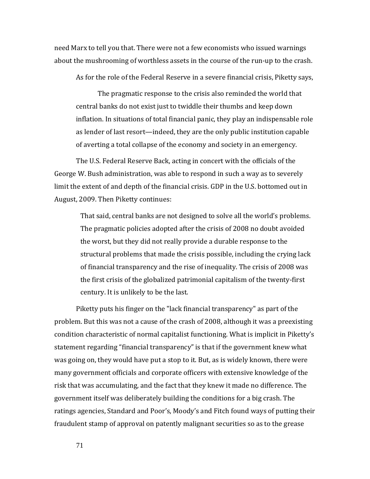need Marx to tell you that. There were not a few economists who issued warnings about the mushrooming of worthless assets in the course of the run-up to the crash.

As for the role of the Federal Reserve in a severe financial crisis, Piketty says,

The pragmatic response to the crisis also reminded the world that central banks do not exist just to twiddle their thumbs and keep down inflation. In situations of total financial panic, they play an indispensable role as lender of last resort—indeed, they are the only public institution capable of averting a total collapse of the economy and society in an emergency.

The U.S. Federal Reserve Back, acting in concert with the officials of the George W. Bush administration, was able to respond in such a way as to severely limit the extent of and depth of the financial crisis. GDP in the U.S. bottomed out in August, 2009. Then Piketty continues:

That said, central banks are not designed to solve all the world's problems. The pragmatic policies adopted after the crisis of 2008 no doubt avoided the worst, but they did not really provide a durable response to the structural problems that made the crisis possible, including the crying lack of financial transparency and the rise of inequality. The crisis of 2008 was the first crisis of the globalized patrimonial capitalism of the twenty-first century. It is unlikely to be the last.

Piketty puts his finger on the "lack financial transparency" as part of the problem. But this was not a cause of the crash of 2008, although it was a preexisting condition characteristic of normal capitalist functioning. What is implicit in Piketty's statement regarding "financial transparency" is that if the government knew what was going on, they would have put a stop to it. But, as is widely known, there were many government officials and corporate officers with extensive knowledge of the risk that was accumulating, and the fact that they knew it made no difference. The government itself was deliberately building the conditions for a big crash. The ratings agencies, Standard and Poor's, Moody's and Fitch found ways of putting their fraudulent stamp of approval on patently malignant securities so as to the grease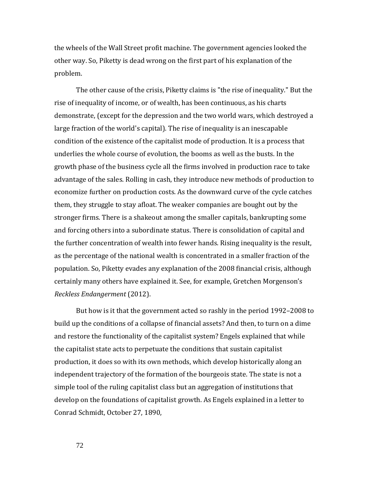the wheels of the Wall Street profit machine. The government agencies looked the other way. So, Piketty is dead wrong on the first part of his explanation of the problem.

The other cause of the crisis, Piketty claims is "the rise of inequality." But the rise of inequality of income, or of wealth, has been continuous, as his charts demonstrate, (except for the depression and the two world wars, which destroyed a large fraction of the world's capital). The rise of inequality is an inescapable condition of the existence of the capitalist mode of production. It is a process that underlies the whole course of evolution, the booms as well as the busts. In the growth phase of the business cycle all the firms involved in production race to take advantage of the sales. Rolling in cash, they introduce new methods of production to economize further on production costs. As the downward curve of the cycle catches them, they struggle to stay afloat. The weaker companies are bought out by the stronger firms. There is a shakeout among the smaller capitals, bankrupting some and forcing others into a subordinate status. There is consolidation of capital and the further concentration of wealth into fewer hands. Rising inequality is the result, as the percentage of the national wealth is concentrated in a smaller fraction of the population. So, Piketty evades any explanation of the 2008 financial crisis, although certainly many others have explained it. See, for example, Gretchen Morgenson's *Reckless Endangerment* (2012).

But how is it that the government acted so rashly in the period 1992–2008 to build up the conditions of a collapse of financial assets? And then, to turn on a dime and restore the functionality of the capitalist system? Engels explained that while the capitalist state acts to perpetuate the conditions that sustain capitalist production, it does so with its own methods, which develop historically along an independent trajectory of the formation of the bourgeois state. The state is not a simple tool of the ruling capitalist class but an aggregation of institutions that develop on the foundations of capitalist growth. As Engels explained in a letter to Conrad Schmidt, October 27, 1890,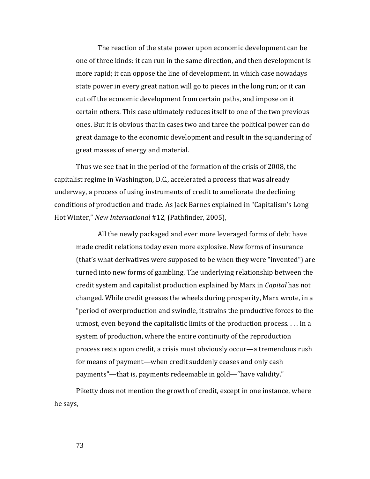The reaction of the state power upon economic development can be one of three kinds: it can run in the same direction, and then development is more rapid; it can oppose the line of development, in which case nowadays state power in every great nation will go to pieces in the long run; or it can cut off the economic development from certain paths, and impose on it certain others. This case ultimately reduces itself to one of the two previous ones. But it is obvious that in cases two and three the political power can do great damage to the economic development and result in the squandering of great masses of energy and material.

Thus we see that in the period of the formation of the crisis of 2008, the capitalist regime in Washington, D.C., accelerated a process that was already underway, a process of using instruments of credit to ameliorate the declining conditions of production and trade. As Jack Barnes explained in "Capitalism's Long Hot Winter," *New International* #12*,* (Pathfinder, 2005),

All the newly packaged and ever more leveraged forms of debt have made credit relations today even more explosive. New forms of insurance (that's what derivatives were supposed to be when they were "invented") are turned into new forms of gambling. The underlying relationship between the credit system and capitalist production explained by Marx in *Capital* has not changed. While credit greases the wheels during prosperity, Marx wrote, in a "period of overproduction and swindle, it strains the productive forces to the utmost, even beyond the capitalistic limits of the production process. . . . In a system of production, where the entire continuity of the reproduction process rests upon credit, a crisis must obviously occur—a tremendous rush for means of payment—when credit suddenly ceases and only cash payments"—that is, payments redeemable in gold—"have validity."

Piketty does not mention the growth of credit, except in one instance, where he says,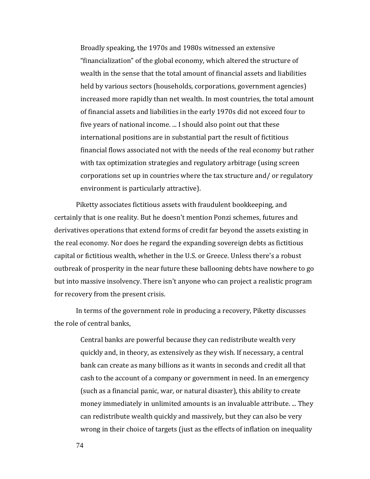Broadly speaking, the 1970s and 1980s witnessed an extensive "financialization" of the global economy, which altered the structure of wealth in the sense that the total amount of financial assets and liabilities held by various sectors (households, corporations, government agencies) increased more rapidly than net wealth. In most countries, the total amount of financial assets and liabilities in the early 1970s did not exceed four to five years of national income. ... I should also point out that these international positions are in substantial part the result of fictitious financial flows associated not with the needs of the real economy but rather with tax optimization strategies and regulatory arbitrage (using screen corporations set up in countries where the tax structure and/ or regulatory environment is particularly attractive).

Piketty associates fictitious assets with fraudulent bookkeeping, and certainly that is one reality. But he doesn't mention Ponzi schemes, futures and derivatives operations that extend forms of credit far beyond the assets existing in the real economy. Nor does he regard the expanding sovereign debts as fictitious capital or fictitious wealth, whether in the U.S. or Greece. Unless there's a robust outbreak of prosperity in the near future these ballooning debts have nowhere to go but into massive insolvency. There isn't anyone who can project a realistic program for recovery from the present crisis.

In terms of the government role in producing a recovery, Piketty discusses the role of central banks,

> Central banks are powerful because they can redistribute wealth very quickly and, in theory, as extensively as they wish. If necessary, a central bank can create as many billions as it wants in seconds and credit all that cash to the account of a company or government in need. In an emergency (such as a financial panic, war, or natural disaster), this ability to create money immediately in unlimited amounts is an invaluable attribute. ... They can redistribute wealth quickly and massively, but they can also be very wrong in their choice of targets (just as the effects of inflation on inequality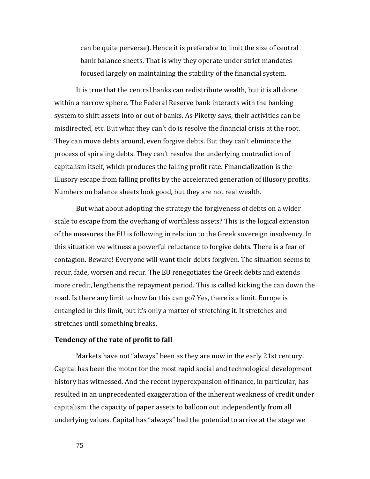can be quite perverse). Hence it is preferable to limit the size of central bank balance sheets. That is why they operate under strict mandates focused largely on maintaining the stability of the financial system.

It is true that the central banks can redistribute wealth, but it is all done within a narrow sphere. The Federal Reserve bank interacts with the banking system to shift assets into or out of banks. As Piketty says, their activities can be misdirected, etc. But what they can't do is resolve the financial crisis at the root. They can move debts around, even forgive debts. But they can't eliminate the process of spiraling debts. They can't resolve the underlying contradiction of capitalism itself, which produces the falling profit rate. Financialization is the illusory escape from falling profits by the accelerated generation of illusory profits. Numbers on balance sheets look good, but they are not real wealth.

But what about adopting the strategy the forgiveness of debts on a wider scale to escape from the overhang of worthless assets? This is the logical extension of the measures the EU is following in relation to the Greek sovereign insolvency. In this situation we witness a powerful reluctance to forgive debts. There is a fear of contagion. Beware! Everyone will want their debts forgiven. The situation seems to recur, fade, worsen and recur. The EU renegotiates the Greek debts and extends more credit, lengthens the repayment period. This is called kicking the can down the road. Is there any limit to how far this can go? Yes, there is a limit. Europe is entangled in this limit, but it's only a matter of stretching it. It stretches and stretches until something breaks.

## **Tendency of the rate of profit to fall**

Markets have not "always" been as they are now in the early 21st century. Capital has been the motor for the most rapid social and technological development history has witnessed. And the recent hyperexpansion of finance, in particular, has resulted in an unprecedented exaggeration of the inherent weakness of credit under capitalism: the capacity of paper assets to balloon out independently from all underlying values. Capital has "always" had the potential to arrive at the stage we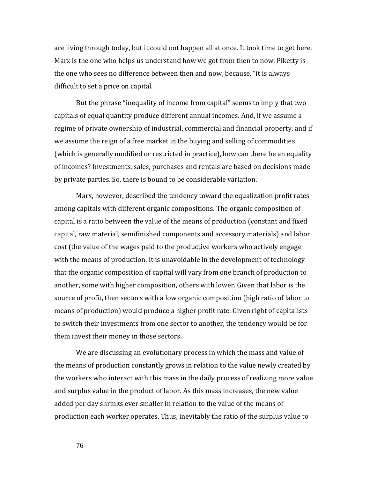are living through today, but it could not happen all at once. It took time to get here. Marx is the one who helps us understand how we got from then to now. Piketty is the one who sees no difference between then and now, because, "it is always difficult to set a price on capital.

But the phrase "inequality of income from capital" seems to imply that two capitals of equal quantity produce different annual incomes. And, if we assume a regime of private ownership of industrial, commercial and financial property, and if we assume the reign of a free market in the buying and selling of commodities (which is generally modified or restricted in practice), how can there be an equality of incomes? Investments, sales, purchases and rentals are based on decisions made by private parties. So, there is bound to be considerable variation.

Marx, however, described the tendency toward the equalization profit rates among capitals with different organic compositions. The organic composition of capital is a ratio between the value of the means of production (constant and fixed capital, raw material, semifinished components and accessory materials) and labor cost (the value of the wages paid to the productive workers who actively engage with the means of production. It is unavoidable in the development of technology that the organic composition of capital will vary from one branch of production to another, some with higher composition, others with lower. Given that labor is the source of profit, then sectors with a low organic composition (high ratio of labor to means of production) would produce a higher profit rate. Given right of capitalists to switch their investments from one sector to another, the tendency would be for them invest their money in those sectors.

We are discussing an evolutionary process in which the mass and value of the means of production constantly grows in relation to the value newly created by the workers who interact with this mass in the daily process of realizing more value and surplus value in the product of labor. As this mass increases, the new value added per day shrinks ever smaller in relation to the value of the means of production each worker operates. Thus, inevitably the ratio of the surplus value to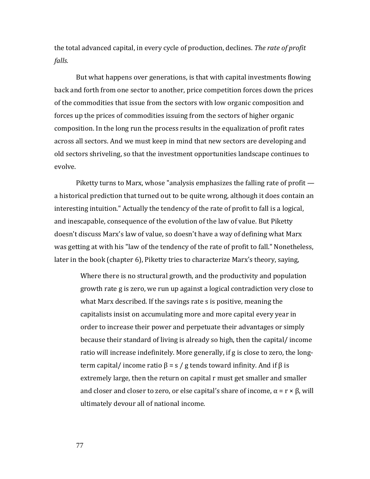the total advanced capital, in every cycle of production, declines. *The rate of profit falls.*

But what happens over generations, is that with capital investments flowing back and forth from one sector to another, price competition forces down the prices of the commodities that issue from the sectors with low organic composition and forces up the prices of commodities issuing from the sectors of higher organic composition. In the long run the process results in the equalization of profit rates across all sectors. And we must keep in mind that new sectors are developing and old sectors shriveling, so that the investment opportunities landscape continues to evolve.

Piketty turns to Marx, whose "analysis emphasizes the falling rate of profit a historical prediction that turned out to be quite wrong, although it does contain an interesting intuition." Actually the tendency of the rate of profit to fall is a logical, and inescapable, consequence of the evolution of the law of value. But Piketty doesn't discuss Marx's law of value, so doesn't have a way of defining what Marx was getting at with his "law of the tendency of the rate of profit to fall." Nonetheless, later in the book (chapter 6), Piketty tries to characterize Marx's theory, saying,

Where there is no structural growth, and the productivity and population growth rate g is zero, we run up against a logical contradiction very close to what Marx described. If the savings rate s is positive, meaning the capitalists insist on accumulating more and more capital every year in order to increase their power and perpetuate their advantages or simply because their standard of living is already so high, then the capital/ income ratio will increase indefinitely. More generally, if g is close to zero, the longterm capital/ income ratio  $β = s / g$  tends toward infinity. And if  $β$  is extremely large, then the return on capital r must get smaller and smaller and closer and closer to zero, or else capital's share of income,  $\alpha = r \times \beta$ , will ultimately devour all of national income.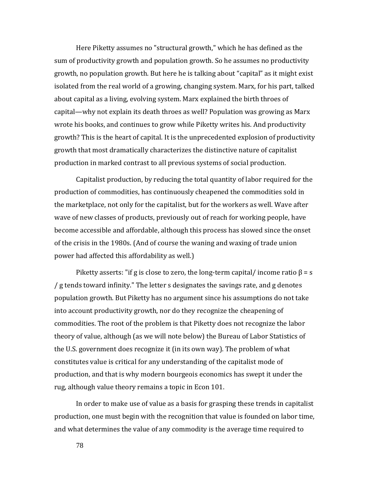Here Piketty assumes no "structural growth," which he has defined as the sum of productivity growth and population growth. So he assumes no productivity growth, no population growth. But here he is talking about "capital" as it might exist isolated from the real world of a growing, changing system. Marx, for his part, talked about capital as a living, evolving system. Marx explained the birth throes of capital—why not explain its death throes as well? Population was growing as Marx wrote his books, and continues to grow while Piketty writes his. And productivity growth? This is the heart of capital. It is the unprecedented explosion of productivity growth that most dramatically characterizes the distinctive nature of capitalist production in marked contrast to all previous systems of social production.

Capitalist production, by reducing the total quantity of labor required for the production of commodities, has continuously cheapened the commodities sold in the marketplace, not only for the capitalist, but for the workers as well. Wave after wave of new classes of products, previously out of reach for working people, have become accessible and affordable, although this process has slowed since the onset of the crisis in the 1980s. (And of course the waning and waxing of trade union power had affected this affordability as well.)

Piketty asserts: "if g is close to zero, the long-term capital/ income ratio  $\beta$  = s / g tends toward infinity." The letter s designates the savings rate, and g denotes population growth. But Piketty has no argument since his assumptions do not take into account productivity growth, nor do they recognize the cheapening of commodities. The root of the problem is that Piketty does not recognize the labor theory of value, although (as we will note below) the Bureau of Labor Statistics of the U.S. government does recognize it (in its own way). The problem of what constitutes value is critical for any understanding of the capitalist mode of production, and that is why modern bourgeois economics has swept it under the rug, although value theory remains a topic in Econ 101.

In order to make use of value as a basis for grasping these trends in capitalist production, one must begin with the recognition that value is founded on labor time, and what determines the value of any commodity is the average time required to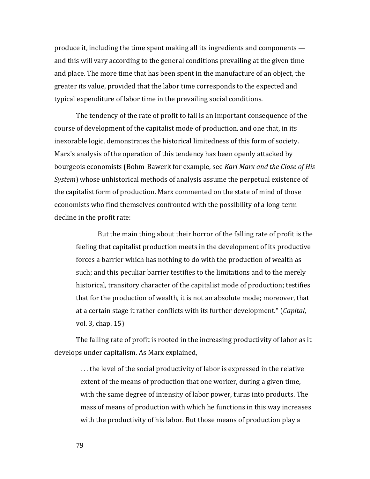produce it, including the time spent making all its ingredients and components and this will vary according to the general conditions prevailing at the given time and place. The more time that has been spent in the manufacture of an object, the greater its value, provided that the labor time corresponds to the expected and typical expenditure of labor time in the prevailing social conditions.

The tendency of the rate of profit to fall is an important consequence of the course of development of the capitalist mode of production, and one that, in its inexorable logic, demonstrates the historical limitedness of this form of society. Marx's analysis of the operation of this tendency has been openly attacked by bourgeois economists (Bohm-Bawerk for example, see *Karl Marx and the Close of His System*) whose unhistorical methods of analysis assume the perpetual existence of the capitalist form of production. Marx commented on the state of mind of those economists who find themselves confronted with the possibility of a long-term decline in the profit rate:

But the main thing about their horror of the falling rate of profit is the feeling that capitalist production meets in the development of its productive forces a barrier which has nothing to do with the production of wealth as such; and this peculiar barrier testifies to the limitations and to the merely historical, transitory character of the capitalist mode of production; testifies that for the production of wealth, it is not an absolute mode; moreover, that at a certain stage it rather conflicts with its further development." (*Capital*, vol. 3, chap. 15)

The falling rate of profit is rooted in the increasing productivity of labor as it develops under capitalism. As Marx explained,

. . . the level of the social productivity of labor is expressed in the relative extent of the means of production that one worker, during a given time, with the same degree of intensity of labor power, turns into products. The mass of means of production with which he functions in this way increases with the productivity of his labor. But those means of production play a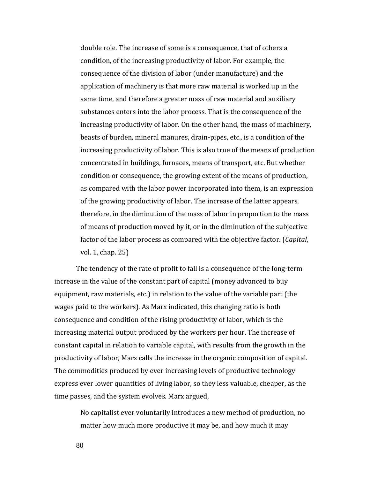double role. The increase of some is a consequence, that of others a condition, of the increasing productivity of labor. For example, the consequence of the division of labor (under manufacture) and the application of machinery is that more raw material is worked up in the same time, and therefore a greater mass of raw material and auxiliary substances enters into the labor process. That is the consequence of the increasing productivity of labor. On the other hand, the mass of machinery, beasts of burden, mineral manures, drain-pipes, etc., is a condition of the increasing productivity of labor. This is also true of the means of production concentrated in buildings, furnaces, means of transport, etc. But whether condition or consequence, the growing extent of the means of production, as compared with the labor power incorporated into them, is an expression of the growing productivity of labor. The increase of the latter appears, therefore, in the diminution of the mass of labor in proportion to the mass of means of production moved by it, or in the diminution of the subjective factor of the labor process as compared with the objective factor. (*Capital*, vol. 1, chap. 25)

The tendency of the rate of profit to fall is a consequence of the long-term increase in the value of the constant part of capital (money advanced to buy equipment, raw materials, etc.) in relation to the value of the variable part (the wages paid to the workers). As Marx indicated, this changing ratio is both consequence and condition of the rising productivity of labor, which is the increasing material output produced by the workers per hour. The increase of constant capital in relation to variable capital, with results from the growth in the productivity of labor, Marx calls the increase in the organic composition of capital. The commodities produced by ever increasing levels of productive technology express ever lower quantities of living labor, so they less valuable, cheaper, as the time passes, and the system evolves. Marx argued,

> No capitalist ever voluntarily introduces a new method of production, no matter how much more productive it may be, and how much it may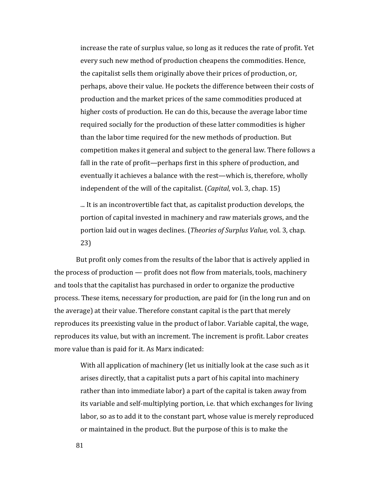increase the rate of surplus value, so long as it reduces the rate of profit. Yet every such new method of production cheapens the commodities. Hence, the capitalist sells them originally above their prices of production, or, perhaps, above their value. He pockets the difference between their costs of production and the market prices of the same commodities produced at higher costs of production. He can do this, because the average labor time required socially for the production of these latter commodities is higher than the labor time required for the new methods of production. But competition makes it general and subject to the general law. There follows a fall in the rate of profit—perhaps first in this sphere of production, and eventually it achieves a balance with the rest—which is, therefore, wholly independent of the will of the capitalist. (*Capital*, vol. 3, chap. 15)

... It is an incontrovertible fact that, as capitalist production develops, the portion of capital invested in machinery and raw materials grows, and the portion laid out in wages declines. (*Theories of Surplus Value,* vol. 3, chap. 23)

But profit only comes from the results of the labor that is actively applied in the process of production — profit does not flow from materials, tools, machinery and tools that the capitalist has purchased in order to organize the productive process. These items, necessary for production, are paid for (in the long run and on the average) at their value. Therefore constant capital is the part that merely reproduces its preexisting value in the product of labor. Variable capital, the wage, reproduces its value, but with an increment. The increment is profit. Labor creates more value than is paid for it. As Marx indicated:

With all application of machinery (let us initially look at the case such as it arises directly, that a capitalist puts a part of his capital into machinery rather than into immediate labor) a part of the capital is taken away from its variable and self-multiplying portion, i.e. that which exchanges for living labor, so as to add it to the constant part, whose value is merely reproduced or maintained in the product. But the purpose of this is to make the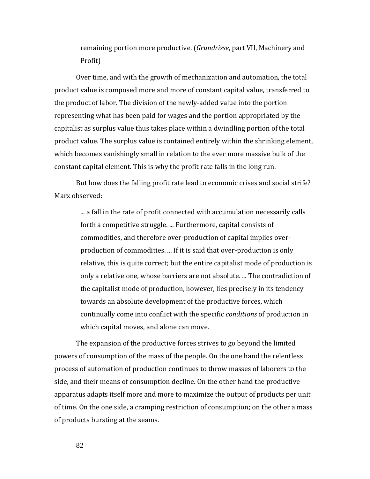remaining portion more productive. (*Grundrisse*, part VII, Machinery and Profit)

Over time, and with the growth of mechanization and automation, the total product value is composed more and more of constant capital value, transferred to the product of labor. The division of the newly-added value into the portion representing what has been paid for wages and the portion appropriated by the capitalist as surplus value thus takes place within a dwindling portion of the total product value. The surplus value is contained entirely within the shrinking element, which becomes vanishingly small in relation to the ever more massive bulk of the constant capital element. This is why the profit rate falls in the long run.

But how does the falling profit rate lead to economic crises and social strife? Marx observed:

... a fall in the rate of profit connected with accumulation necessarily calls forth a competitive struggle. ... Furthermore, capital consists of commodities, and therefore over-production of capital implies overproduction of commodities. ... If it is said that over-production is only relative, this is quite correct; but the entire capitalist mode of production is only a relative one, whose barriers are not absolute. ... The contradiction of the capitalist mode of production, however, lies precisely in its tendency towards an absolute development of the productive forces, which continually come into conflict with the specific *conditions* of production in which capital moves, and alone can move.

The expansion of the productive forces strives to go beyond the limited powers of consumption of the mass of the people. On the one hand the relentless process of automation of production continues to throw masses of laborers to the side, and their means of consumption decline. On the other hand the productive apparatus adapts itself more and more to maximize the output of products per unit of time. On the one side, a cramping restriction of consumption; on the other a mass of products bursting at the seams.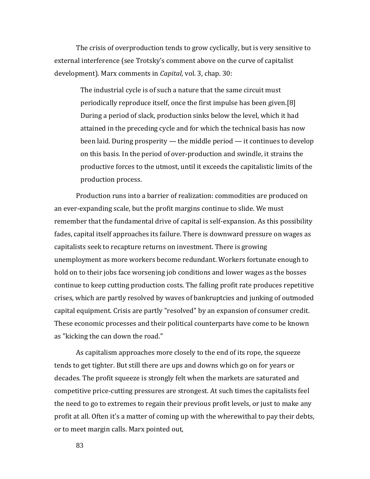The crisis of overproduction tends to grow cyclically, but is very sensitive to external interference (see Trotsky's comment above on the curve of capitalist development). Marx comments in *Capital,* vol. 3, chap. 30:

The industrial cycle is of such a nature that the same circuit must periodically reproduce itself, once the first impulse has been given.[8] During a period of slack, production sinks below the level, which it had attained in the preceding cycle and for which the technical basis has now been laid. During prosperity — the middle period — it continues to develop on this basis. In the period of over-production and swindle, it strains the productive forces to the utmost, until it exceeds the capitalistic limits of the production process.

Production runs into a barrier of realization: commodities are produced on an ever-expanding scale, but the profit margins continue to slide. We must remember that the fundamental drive of capital is self-expansion. As this possibility fades, capital itself approaches its failure. There is downward pressure on wages as capitalists seek to recapture returns on investment. There is growing unemployment as more workers become redundant. Workers fortunate enough to hold on to their jobs face worsening job conditions and lower wages as the bosses continue to keep cutting production costs. The falling profit rate produces repetitive crises, which are partly resolved by waves of bankruptcies and junking of outmoded capital equipment. Crisis are partly "resolved" by an expansion of consumer credit. These economic processes and their political counterparts have come to be known as "kicking the can down the road."

As capitalism approaches more closely to the end of its rope, the squeeze tends to get tighter. But still there are ups and downs which go on for years or decades. The profit squeeze is strongly felt when the markets are saturated and competitive price-cutting pressures are strongest. At such times the capitalists feel the need to go to extremes to regain their previous profit levels, or just to make any profit at all. Often it's a matter of coming up with the wherewithal to pay their debts, or to meet margin calls. Marx pointed out,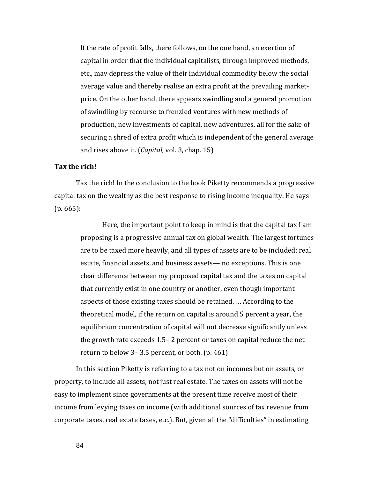If the rate of profit falls, there follows, on the one hand, an exertion of capital in order that the individual capitalists, through improved methods, etc., may depress the value of their individual commodity below the social average value and thereby realise an extra profit at the prevailing marketprice. On the other hand, there appears swindling and a general promotion of swindling by recourse to frenzied ventures with new methods of production, new investments of capital, new adventures, all for the sake of securing a shred of extra profit which is independent of the general average and rises above it. (*Capital,* vol. 3, chap. 15)

## **Tax the rich!**

Tax the rich! In the conclusion to the book Piketty recommends a progressive capital tax on the wealthy as the best response to rising income inequality. He says (p. 665):

Here, the important point to keep in mind is that the capital tax I am proposing is a progressive annual tax on global wealth. The largest fortunes are to be taxed more heavily, and all types of assets are to be included: real estate, financial assets, and business assets— no exceptions. This is one clear difference between my proposed capital tax and the taxes on capital that currently exist in one country or another, even though important aspects of those existing taxes should be retained. … According to the theoretical model, if the return on capital is around 5 percent a year, the equilibrium concentration of capital will not decrease significantly unless the growth rate exceeds 1.5– 2 percent or taxes on capital reduce the net return to below 3– 3.5 percent, or both. (p. 461)

In this section Piketty is referring to a tax not on incomes but on assets, or property, to include all assets, not just real estate. The taxes on assets will not be easy to implement since governments at the present time receive most of their income from levying taxes on income (with additional sources of tax revenue from corporate taxes, real estate taxes, etc.). But, given all the "difficulties" in estimating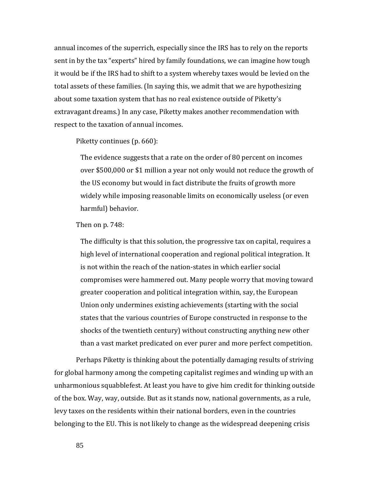annual incomes of the superrich, especially since the IRS has to rely on the reports sent in by the tax "experts" hired by family foundations, we can imagine how tough it would be if the IRS had to shift to a system whereby taxes would be levied on the total assets of these families. (In saying this, we admit that we are hypothesizing about some taxation system that has no real existence outside of Piketty's extravagant dreams.) In any case, Piketty makes another recommendation with respect to the taxation of annual incomes.

## Piketty continues (p. 660):

The evidence suggests that a rate on the order of 80 percent on incomes over \$500,000 or \$1 million a year not only would not reduce the growth of the US economy but would in fact distribute the fruits of growth more widely while imposing reasonable limits on economically useless (or even harmful) behavior.

## Then on p. 748:

The difficulty is that this solution, the progressive tax on capital, requires a high level of international cooperation and regional political integration. It is not within the reach of the nation-states in which earlier social compromises were hammered out. Many people worry that moving toward greater cooperation and political integration within, say, the European Union only undermines existing achievements (starting with the social states that the various countries of Europe constructed in response to the shocks of the twentieth century) without constructing anything new other than a vast market predicated on ever purer and more perfect competition.

Perhaps Piketty is thinking about the potentially damaging results of striving for global harmony among the competing capitalist regimes and winding up with an unharmonious squabblefest. At least you have to give him credit for thinking outside of the box. Way, way, outside. But as it stands now, national governments, as a rule, levy taxes on the residents within their national borders, even in the countries belonging to the EU. This is not likely to change as the widespread deepening crisis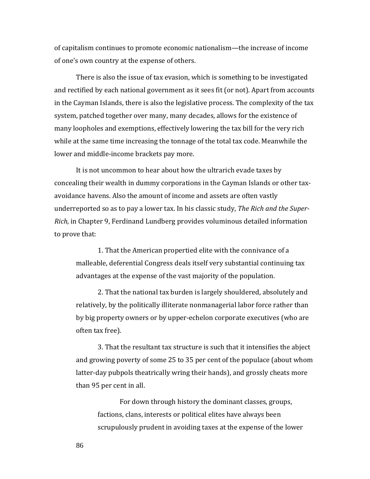of capitalism continues to promote economic nationalism—the increase of income of one's own country at the expense of others.

There is also the issue of tax evasion, which is something to be investigated and rectified by each national government as it sees fit (or not). Apart from accounts in the Cayman Islands, there is also the legislative process. The complexity of the tax system, patched together over many, many decades, allows for the existence of many loopholes and exemptions, effectively lowering the tax bill for the very rich while at the same time increasing the tonnage of the total tax code. Meanwhile the lower and middle-income brackets pay more.

It is not uncommon to hear about how the ultrarich evade taxes by concealing their wealth in dummy corporations in the Cayman Islands or other taxavoidance havens. Also the amount of income and assets are often vastly underreported so as to pay a lower tax. In his classic study, *The Rich and the Super-Rich,* in Chapter 9, Ferdinand Lundberg provides voluminous detailed information to prove that:

1. That the American propertied elite with the connivance of a malleable, deferential Congress deals itself very substantial continuing tax advantages at the expense of the vast majority of the population.

2. That the national tax burden is largely shouldered, absolutely and relatively, by the politically illiterate nonmanagerial labor force rather than by big property owners or by upper-echelon corporate executives (who are often tax free).

3. That the resultant tax structure is such that it intensifies the abject and growing poverty of some 25 to 35 per cent of the populace (about whom latter-day pubpols theatrically wring their hands), and grossly cheats more than 95 per cent in all.

For down through history the dominant classes, groups, factions, clans, interests or political elites have always been scrupulously prudent in avoiding taxes at the expense of the lower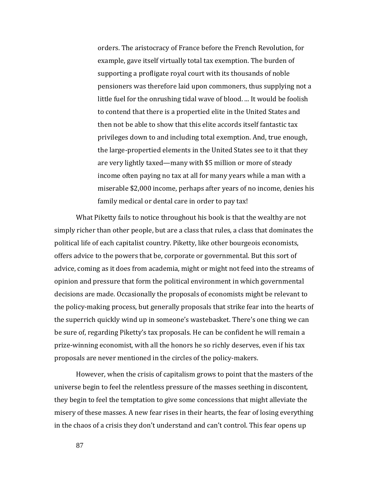orders. The aristocracy of France before the French Revolution, for example, gave itself virtually total tax exemption. The burden of supporting a profligate royal court with its thousands of noble pensioners was therefore laid upon commoners, thus supplying not a little fuel for the onrushing tidal wave of blood. ... It would be foolish to contend that there is a propertied elite in the United States and then not be able to show that this elite accords itself fantastic tax privileges down to and including total exemption. And, true enough, the large-propertied elements in the United States see to it that they are very lightly taxed—many with \$5 million or more of steady income often paying no tax at all for many years while a man with a miserable \$2,000 income, perhaps after years of no income, denies his family medical or dental care in order to pay tax!

What Piketty fails to notice throughout his book is that the wealthy are not simply richer than other people, but are a class that rules, a class that dominates the political life of each capitalist country. Piketty, like other bourgeois economists, offers advice to the powers that be, corporate or governmental. But this sort of advice, coming as it does from academia, might or might not feed into the streams of opinion and pressure that form the political environment in which governmental decisions are made. Occasionally the proposals of economists might be relevant to the policy-making process, but generally proposals that strike fear into the hearts of the superrich quickly wind up in someone's wastebasket. There's one thing we can be sure of, regarding Piketty's tax proposals. He can be confident he will remain a prize-winning economist, with all the honors he so richly deserves, even if his tax proposals are never mentioned in the circles of the policy-makers.

However, when the crisis of capitalism grows to point that the masters of the universe begin to feel the relentless pressure of the masses seething in discontent, they begin to feel the temptation to give some concessions that might alleviate the misery of these masses. A new fear rises in their hearts, the fear of losing everything in the chaos of a crisis they don't understand and can't control. This fear opens up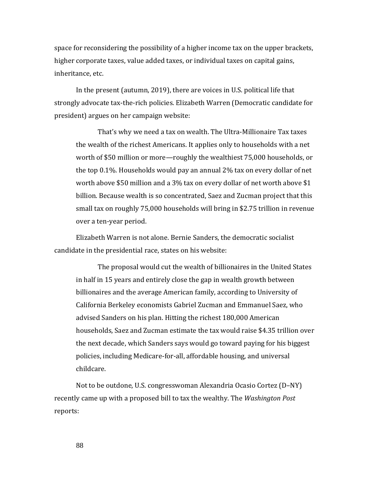space for reconsidering the possibility of a higher income tax on the upper brackets, higher corporate taxes, value added taxes, or individual taxes on capital gains, inheritance, etc.

In the present (autumn, 2019), there are voices in U.S. political life that strongly advocate tax-the-rich policies. Elizabeth Warren (Democratic candidate for president) argues on her campaign website:

That's why we need a tax on wealth. The Ultra-Millionaire Tax taxes the wealth of the richest Americans. It applies only to households with a net worth of \$50 million or more—roughly the wealthiest 75,000 households, or the top 0.1%. Households would pay an annual 2% tax on every dollar of net worth above \$50 million and a 3% tax on every dollar of net worth above \$1 billion. Because wealth is so concentrated, Saez and Zucman project that this small tax on roughly 75,000 households will bring in \$2.75 trillion in revenue over a ten-year period.

Elizabeth Warren is not alone. Bernie Sanders, the democratic socialist candidate in the presidential race, states on his website:

The proposal would cut the wealth of billionaires in the United States in half in 15 years and entirely close the gap in wealth growth between billionaires and the average American family, according to University of California Berkeley economists Gabriel Zucman and Emmanuel Saez, who advised Sanders on his plan. Hitting the richest 180,000 American households, Saez and Zucman estimate the tax would raise \$4.35 trillion over the next decade, which Sanders says would go toward paying for his biggest policies, including Medicare-for-all, affordable housing, and universal childcare.

Not to be outdone, U.S. congresswoman Alexandria Ocasio Cortez (D–NY) recently came up with a proposed bill to tax the wealthy. The *Washington Post* reports: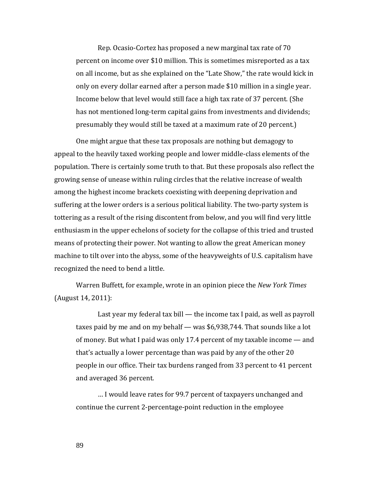Rep. Ocasio-Cortez has proposed a new marginal tax rate of 70 percent on income over \$10 million. This is sometimes misreported as a tax on all income, but as she explained on the "Late Show," the rate would kick in only on every dollar earned after a person made \$10 million in a single year. Income below that level would still face a high tax rate of 37 percent. (She has not mentioned long-term capital gains from investments and dividends; presumably they would still be taxed at a maximum rate of 20 percent.)

One might argue that these tax proposals are nothing but demagogy to appeal to the heavily taxed working people and lower middle-class elements of the population. There is certainly some truth to that. But these proposals also reflect the growing sense of unease within ruling circles that the relative increase of wealth among the highest income brackets coexisting with deepening deprivation and suffering at the lower orders is a serious political liability. The two-party system is tottering as a result of the rising discontent from below, and you will find very little enthusiasm in the upper echelons of society for the collapse of this tried and trusted means of protecting their power. Not wanting to allow the great American money machine to tilt over into the abyss, some of the heavyweights of U.S. capitalism have recognized the need to bend a little.

Warren Buffett, for example, wrote in an opinion piece the *New York Times* (August 14, 2011):

Last year my federal tax bill — the income tax I paid, as well as payroll taxes paid by me and on my behalf — was \$6,938,744. That sounds like a lot of money. But what I paid was only 17.4 percent of my taxable income — and that's actually a lower percentage than was paid by any of the other 20 people in our office. Their tax burdens ranged from 33 percent to 41 percent and averaged 36 percent.

… I would leave rates for 99.7 percent of taxpayers unchanged and continue the current 2-percentage-point reduction in the employee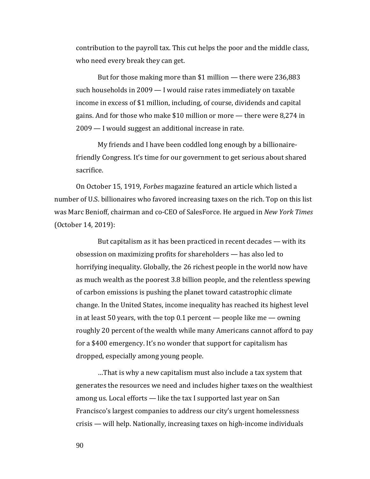contribution to the payroll tax. This cut helps the poor and the middle class, who need every break they can get.

But for those making more than \$1 million — there were 236,883 such households in 2009 — I would raise rates immediately on taxable income in excess of \$1 million, including, of course, dividends and capital gains. And for those who make \$10 million or more — there were 8,274 in 2009 — I would suggest an additional increase in rate.

My friends and I have been coddled long enough by a billionairefriendly Congress. It's time for our government to get serious about shared sacrifice.

On October 15, 1919, *Forbes* magazine featured an article which listed a number of U.S. billionaires who favored increasing taxes on the rich. Top on this list was Marc Benioff, chairman and co-CEO of SalesForce. He argued in *New York Times* (October 14, 2019):

But capitalism as it has been practiced in recent decades — with its obsession on maximizing profits for shareholders — has also led to horrifying inequality. Globally, the 26 richest people in the world now have as much wealth as the poorest 3.8 billion people, and the relentless spewing of carbon emissions is pushing the planet toward catastrophic climate change. In the United States, income inequality has reached its highest level in at least 50 years, with the top 0.1 percent — people like me — owning roughly 20 percent of the wealth while many Americans cannot afford to pay for a \$400 emergency. It's no wonder that support for capitalism has dropped, especially among young people.

…That is why a new capitalism must also include a tax system that generates the resources we need and includes higher taxes on the wealthiest among us. Local efforts — like the tax I supported last year on San Francisco's largest companies to address our city's urgent homelessness crisis — will help. Nationally, increasing taxes on high-income individuals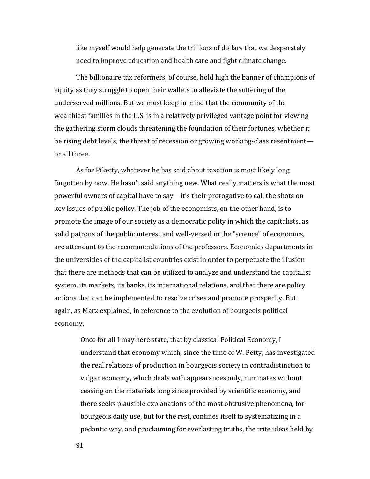like myself would help generate the trillions of dollars that we desperately need to improve education and health care and fight climate change.

The billionaire tax reformers, of course, hold high the banner of champions of equity as they struggle to open their wallets to alleviate the suffering of the underserved millions. But we must keep in mind that the community of the wealthiest families in the U.S. is in a relatively privileged vantage point for viewing the gathering storm clouds threatening the foundation of their fortunes, whether it be rising debt levels, the threat of recession or growing working-class resentment or all three.

As for Piketty, whatever he has said about taxation is most likely long forgotten by now. He hasn't said anything new. What really matters is what the most powerful owners of capital have to say—it's their prerogative to call the shots on key issues of public policy. The job of the economists, on the other hand, is to promote the image of our society as a democratic polity in which the capitalists, as solid patrons of the public interest and well-versed in the "science" of economics, are attendant to the recommendations of the professors. Economics departments in the universities of the capitalist countries exist in order to perpetuate the illusion that there are methods that can be utilized to analyze and understand the capitalist system, its markets, its banks, its international relations, and that there are policy actions that can be implemented to resolve crises and promote prosperity. But again, as Marx explained, in reference to the evolution of bourgeois political economy:

Once for all I may here state, that by classical Political Economy, I understand that economy which, since the time of W. Petty, has investigated the real relations of production in bourgeois society in contradistinction to vulgar economy, which deals with appearances only, ruminates without ceasing on the materials long since provided by scientific economy, and there seeks plausible explanations of the most obtrusive phenomena, for bourgeois daily use, but for the rest, confines itself to systematizing in a pedantic way, and proclaiming for everlasting truths, the trite ideas held by